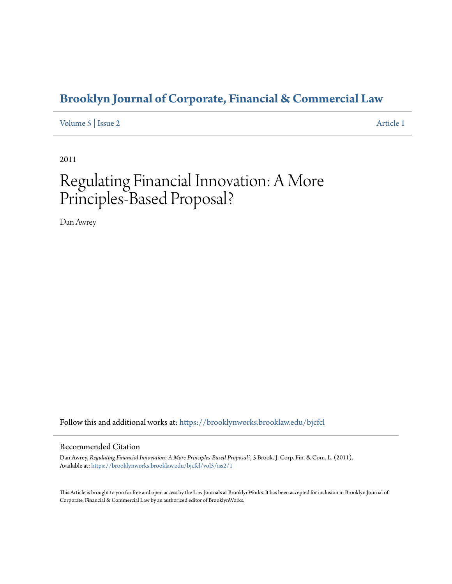# **[Brooklyn Journal of Corporate, Financial & Commercial Law](https://brooklynworks.brooklaw.edu/bjcfcl?utm_source=brooklynworks.brooklaw.edu%2Fbjcfcl%2Fvol5%2Fiss2%2F1&utm_medium=PDF&utm_campaign=PDFCoverPages)**

[Volume 5](https://brooklynworks.brooklaw.edu/bjcfcl/vol5?utm_source=brooklynworks.brooklaw.edu%2Fbjcfcl%2Fvol5%2Fiss2%2F1&utm_medium=PDF&utm_campaign=PDFCoverPages) | [Issue 2](https://brooklynworks.brooklaw.edu/bjcfcl/vol5/iss2?utm_source=brooklynworks.brooklaw.edu%2Fbjcfcl%2Fvol5%2Fiss2%2F1&utm_medium=PDF&utm_campaign=PDFCoverPages) [Article 1](https://brooklynworks.brooklaw.edu/bjcfcl/vol5/iss2/1?utm_source=brooklynworks.brooklaw.edu%2Fbjcfcl%2Fvol5%2Fiss2%2F1&utm_medium=PDF&utm_campaign=PDFCoverPages)

2011

# Regulating Financial Innovation: A More Principles-Based Proposal?

Dan Awrey

Follow this and additional works at: [https://brooklynworks.brooklaw.edu/bjcfcl](https://brooklynworks.brooklaw.edu/bjcfcl?utm_source=brooklynworks.brooklaw.edu%2Fbjcfcl%2Fvol5%2Fiss2%2F1&utm_medium=PDF&utm_campaign=PDFCoverPages)

#### Recommended Citation

Dan Awrey, *Regulating Financial Innovation: A More Principles-Based Proposal?*, 5 Brook. J. Corp. Fin. & Com. L. (2011). Available at: [https://brooklynworks.brooklaw.edu/bjcfcl/vol5/iss2/1](https://brooklynworks.brooklaw.edu/bjcfcl/vol5/iss2/1?utm_source=brooklynworks.brooklaw.edu%2Fbjcfcl%2Fvol5%2Fiss2%2F1&utm_medium=PDF&utm_campaign=PDFCoverPages)

This Article is brought to you for free and open access by the Law Journals at BrooklynWorks. It has been accepted for inclusion in Brooklyn Journal of Corporate, Financial & Commercial Law by an authorized editor of BrooklynWorks.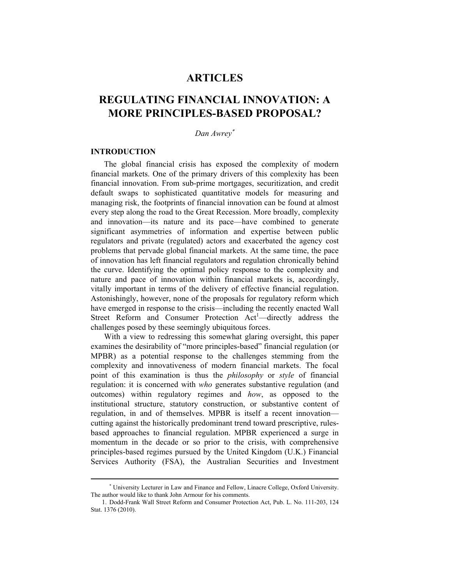# **ARTICLES**

# **REGULATING FINANCIAL INNOVATION: A MORE PRINCIPLES-BASED PROPOSAL?**

# *Dan Awrey*

#### **INTRODUCTION**

 $\overline{a}$ 

The global financial crisis has exposed the complexity of modern financial markets. One of the primary drivers of this complexity has been financial innovation. From sub-prime mortgages, securitization, and credit default swaps to sophisticated quantitative models for measuring and managing risk, the footprints of financial innovation can be found at almost every step along the road to the Great Recession. More broadly, complexity and innovation—its nature and its pace—have combined to generate significant asymmetries of information and expertise between public regulators and private (regulated) actors and exacerbated the agency cost problems that pervade global financial markets. At the same time, the pace of innovation has left financial regulators and regulation chronically behind the curve. Identifying the optimal policy response to the complexity and nature and pace of innovation within financial markets is, accordingly, vitally important in terms of the delivery of effective financial regulation. Astonishingly, however, none of the proposals for regulatory reform which have emerged in response to the crisis—including the recently enacted Wall Street Reform and Consumer Protection Act<sup>1</sup>—directly address the challenges posed by these seemingly ubiquitous forces.

With a view to redressing this somewhat glaring oversight, this paper examines the desirability of "more principles-based" financial regulation (or MPBR) as a potential response to the challenges stemming from the complexity and innovativeness of modern financial markets. The focal point of this examination is thus the *philosophy* or *style* of financial regulation: it is concerned with *who* generates substantive regulation (and outcomes) within regulatory regimes and *how*, as opposed to the institutional structure, statutory construction, or substantive content of regulation, in and of themselves. MPBR is itself a recent innovation cutting against the historically predominant trend toward prescriptive, rulesbased approaches to financial regulation. MPBR experienced a surge in momentum in the decade or so prior to the crisis, with comprehensive principles-based regimes pursued by the United Kingdom (U.K.) Financial Services Authority (FSA), the Australian Securities and Investment

 University Lecturer in Law and Finance and Fellow, Linacre College, Oxford University. The author would like to thank John Armour for his comments.

<sup>1.</sup> Dodd-Frank Wall Street Reform and Consumer Protection Act, Pub. L. No. 111-203, 124 Stat. 1376 (2010).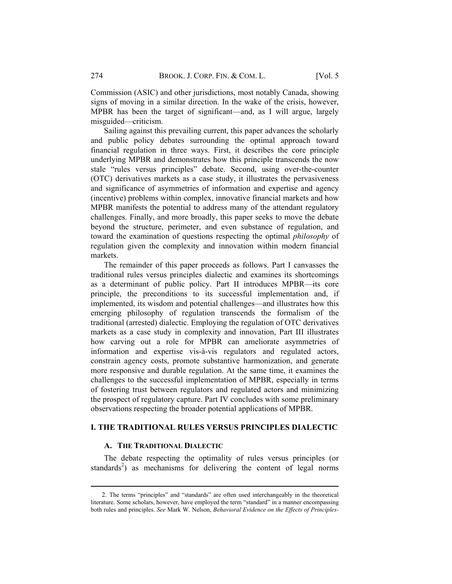Commission (ASIC) and other jurisdictions, most notably Canada, showing signs of moving in a similar direction. In the wake of the crisis, however, MPBR has been the target of significant—and, as I will argue, largely misguided—criticism.

Sailing against this prevailing current, this paper advances the scholarly and public policy debates surrounding the optimal approach toward financial regulation in three ways. First, it describes the core principle underlying MPBR and demonstrates how this principle transcends the now stale "rules versus principles" debate. Second, using over-the-counter (OTC) derivatives markets as a case study, it illustrates the pervasiveness and significance of asymmetries of information and expertise and agency (incentive) problems within complex, innovative financial markets and how MPBR manifests the potential to address many of the attendant regulatory challenges. Finally, and more broadly, this paper seeks to move the debate beyond the structure, perimeter, and even substance of regulation, and toward the examination of questions respecting the optimal *philosophy* of regulation given the complexity and innovation within modern financial markets.

The remainder of this paper proceeds as follows. Part I canvasses the traditional rules versus principles dialectic and examines its shortcomings as a determinant of public policy. Part II introduces MPBR—its core principle, the preconditions to its successful implementation and, if implemented, its wisdom and potential challenges—and illustrates how this emerging philosophy of regulation transcends the formalism of the traditional (arrested) dialectic. Employing the regulation of OTC derivatives markets as a case study in complexity and innovation, Part III illustrates how carving out a role for MPBR can ameliorate asymmetries of information and expertise vis-à-vis regulators and regulated actors, constrain agency costs, promote substantive harmonization, and generate more responsive and durable regulation. At the same time, it examines the challenges to the successful implementation of MPBR, especially in terms of fostering trust between regulators and regulated actors and minimizing the prospect of regulatory capture. Part IV concludes with some preliminary observations respecting the broader potential applications of MPBR.

## **I. THE TRADITIONAL RULES VERSUS PRINCIPLES DIALECTIC**

## **A. THE TRADITIONAL DIALECTIC**

The debate respecting the optimality of rules versus principles (or standards<sup>2</sup>) as mechanisms for delivering the content of legal norms

 <sup>2.</sup> The terms "principles" and "standards" are often used interchangeably in the theoretical literature. Some scholars, however, have employed the term "standard" in a manner encompassing both rules and principles. *See* Mark W. Nelson, *Behavioral Evidence on the Effects of Principles-*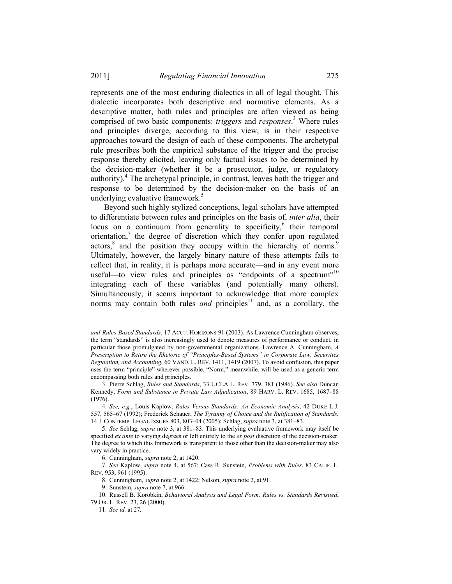represents one of the most enduring dialectics in all of legal thought. This dialectic incorporates both descriptive and normative elements. As a descriptive matter, both rules and principles are often viewed as being comprised of two basic components: *triggers* and *responses*. 3 Where rules and principles diverge, according to this view, is in their respective approaches toward the design of each of these components. The archetypal rule prescribes both the empirical substance of the trigger and the precise response thereby elicited, leaving only factual issues to be determined by the decision-maker (whether it be a prosecutor, judge, or regulatory authority).<sup>4</sup> The archetypal principle, in contrast, leaves both the trigger and response to be determined by the decision-maker on the basis of an underlying evaluative framework.<sup>5</sup>

Beyond such highly stylized conceptions, legal scholars have attempted to differentiate between rules and principles on the basis of, *inter alia*, their locus on a continuum from generality to specificity, $6$  their temporal orientation,<sup>7</sup> the degree of discretion which they confer upon regulated actors,<sup>8</sup> and the position they occupy within the hierarchy of norms.<sup>9</sup> Ultimately, however, the largely binary nature of these attempts fails to reflect that, in reality, it is perhaps more accurate—and in any event more useful—to view rules and principles as "endpoints of a spectrum"<sup>10</sup> integrating each of these variables (and potentially many others). Simultaneously, it seems important to acknowledge that more complex norms may contain both rules *and* principles<sup>11</sup> and, as a corollary, the

*and-Rules-Based Standards*, 17 ACCT. HORIZONS 91 (2003). As Lawrence Cunningham observes, the term "standards" is also increasingly used to denote measures of performance or conduct, in particular those promulgated by non-governmental organizations. Lawrence A. Cunningham, *A Prescription to Retire the Rhetoric of "Principles-Based Systems" in Corporate Law, Securities Regulation, and Accounting*, 60 VAND. L. REV. 1411, 1419 (2007). To avoid confusion, this paper uses the term "principle" wherever possible. "Norm," meanwhile, will be used as a generic term encompassing both rules and principles.

<sup>3.</sup> Pierre Schlag, *Rules and Standards*, 33 UCLA L. REV. 379, 381 (1986). *See also* Duncan Kennedy, *Form and Substance in Private Law Adjudication*, 89 HARV. L. REV. 1685, 1687–88 (1976).

<sup>4.</sup> *See, e.g.*, Louis Kaplow, *Rules Versus Standards: An Economic Analysis*, 42 DUKE L.J. 557, 565–67 (1992); Frederick Schauer, *The Tyranny of Choice and the Rulification of Standards*, 14 J. CONTEMP. LEGAL ISSUES 803, 803–04 (2005); Schlag, *supra* note 3, at 381–83.

<sup>5.</sup> *See* Schlag, *supra* note 3, at 381–83. This underlying evaluative framework may itself be specified *ex ante* to varying degrees or left entirely to the *ex post* discretion of the decision-maker. The degree to which this framework is transparent to those other than the decision-maker may also vary widely in practice.

<sup>6.</sup> Cunningham, *supra* note 2, at 1420.

<sup>7.</sup> *See* Kaplow, *supra* note 4, at 567; Cass R. Sunstein, *Problems with Rules*, 83 CALIF. L. REV. 953, 961 (1995).

<sup>8.</sup> Cunningham, *supra* note 2, at 1422; Nelson, *supra* note 2, at 91.

<sup>9.</sup> Sunstein, *supra* note 7, at 966.

<sup>10.</sup> Russell B. Korobkin, *Behavioral Analysis and Legal Form: Rules vs. Standards Revisited*, 79 OR. L. REV. 23, 26 (2000).

<sup>11.</sup> *See id.* at 27*.*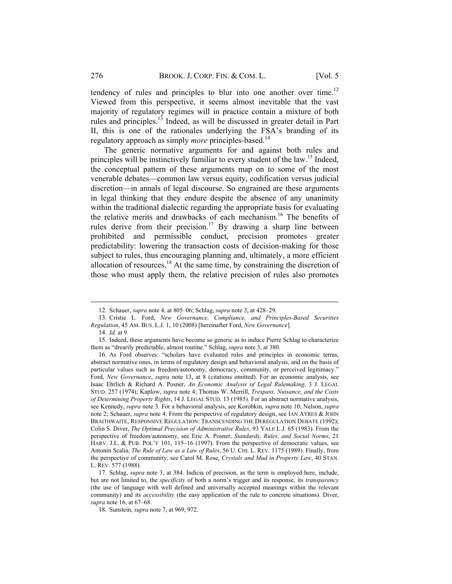tendency of rules and principles to blur into one another over time.<sup>12</sup> Viewed from this perspective, it seems almost inevitable that the vast majority of regulatory regimes will in practice contain a mixture of both rules and principles.13 Indeed, as will be discussed in greater detail in Part II, this is one of the rationales underlying the FSA's branding of its regulatory approach as simply *more* principles-based.<sup>14</sup>

The generic normative arguments for and against both rules and principles will be instinctively familiar to every student of the law.<sup>15</sup> Indeed, the conceptual pattern of these arguments map on to some of the most venerable debates—common law versus equity, codification versus judicial discretion—in annals of legal discourse. So engrained are these arguments in legal thinking that they endure despite the absence of any unanimity within the traditional dialectic regarding the appropriate basis for evaluating the relative merits and drawbacks of each mechanism.<sup>16</sup> The benefits of rules derive from their precision.<sup>17</sup> By drawing a sharp line between prohibited and permissible conduct, precision promotes greater predictability: lowering the transaction costs of decision-making for those subject to rules, thus encouraging planning and, ultimately, a more efficient allocation of resources.<sup>18</sup> At the same time, by constraining the discretion of those who must apply them, the relative precision of rules also promotes

<sup>12.</sup> Schauer, *supra* note 4, at 805–06; Schlag, *supra* note 3, at 428–29.

<sup>13.</sup> Cristie L. Ford, *New Governance, Compliance, and Principles-Based Securities Regulation*, 45 AM. BUS. L.J. 1, 10 (2008) [hereinafter Ford, *New Governance*].

<sup>14.</sup> *Id.* at 9*.*

<sup>15.</sup> Indeed, these arguments have become so generic as to induce Pierre Schlag to characterize them as "drearily predictable, almost routine." Schlag, *supra* note 3, at 380.

<sup>16.</sup> As Ford observes: "scholars have evaluated rules and principles in economic terms, abstract normative ones, in terms of regulatory design and behavioral analysis, and on the basis of particular values such as freedom/autonomy, democracy, community, or perceived legitimacy." Ford, *New Governance*, *supra* note 13, at 8 (citations omitted). For an economic analysis, see Isaac Ehrlich & Richard A. Posner, *An Economic Analysis of Legal Rulemaking*, 3 J. LEGAL STUD. 257 (1974); Kaplow, *supra* note 4; Thomas W. Merrill, *Trespass, Nuisance, and the Costs of Determining Property Rights*, 14 J. LEGAL STUD. 13 (1985). For an abstract normative analysis, see Kennedy, *supra* note 3. For a behavioral analysis, see Korobkin, *supra* note 10; Nelson, *supra* note 2; Schauer, *supra* note 4. From the perspective of regulatory design, see IAN AYRES & JOHN BRAITHWAITE, RESPONSIVE REGULATION: TRANSCENDING THE DEREGULATION DEBATE (1992); Colin S. Diver, *The Optimal Precision of Administrative Rules*, 93 YALE L.J. 65 (1983). From the perspective of freedom/autonomy, see Eric A. Posner, *Standards, Rules, and Social Norms*, 21 HARV. J.L. & PUB. POL'Y 101, 115–16 (1997). From the perspective of democratic values, see Antonin Scalia, *The Rule of Law as a Law of Rules*, 56 U. CHI. L. REV. 1175 (1989). Finally, from the perspective of community, see Carol M. Rose, *Crystals and Mud in Property Law*, 40 STAN. L. REV. 577 (1988).

<sup>17.</sup> Schlag, *supra* note 3, at 384. Indicia of precision, as the term is employed here, include, but are not limited to, the *specificity* of both a norm's trigger and its response, its *transparency* (the use of language with well defined and universally accepted meanings within the relevant community) and its *accessibility* (the easy application of the rule to concrete situations). Diver, *supra* note 16, at 67–68.

<sup>18.</sup> Sunstein, *supra* note 7, at 969, 972.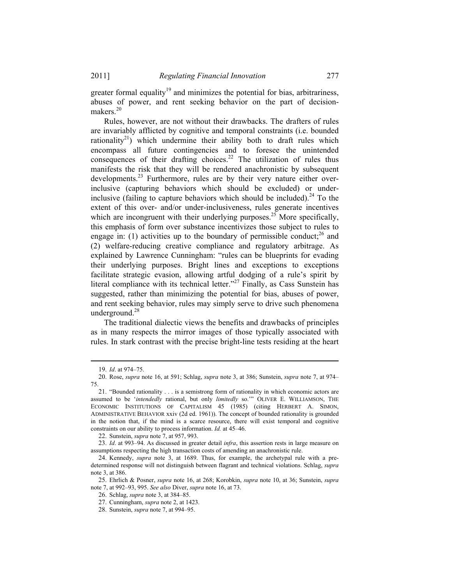greater formal equality<sup>19</sup> and minimizes the potential for bias, arbitrariness, abuses of power, and rent seeking behavior on the part of decisionmakers.<sup>20</sup>

Rules, however, are not without their drawbacks. The drafters of rules are invariably afflicted by cognitive and temporal constraints (i.e. bounded rationality<sup>21</sup>) which undermine their ability both to draft rules which encompass all future contingencies and to foresee the unintended consequences of their drafting choices.<sup>22</sup> The utilization of rules thus manifests the risk that they will be rendered anachronistic by subsequent developments.<sup>23</sup> Furthermore, rules are by their very nature either overinclusive (capturing behaviors which should be excluded) or underinclusive (failing to capture behaviors which should be included).<sup>24</sup> To the extent of this over- and/or under-inclusiveness, rules generate incentives which are incongruent with their underlying purposes.<sup>25</sup> More specifically, this emphasis of form over substance incentivizes those subject to rules to engage in: (1) activities up to the boundary of permissible conduct;  $^{26}$  and (2) welfare-reducing creative compliance and regulatory arbitrage. As explained by Lawrence Cunningham: "rules can be blueprints for evading their underlying purposes. Bright lines and exceptions to exceptions facilitate strategic evasion, allowing artful dodging of a rule's spirit by literal compliance with its technical letter."<sup>27</sup> Finally, as Cass Sunstein has suggested, rather than minimizing the potential for bias, abuses of power, and rent seeking behavior, rules may simply serve to drive such phenomena underground.<sup>28</sup>

The traditional dialectic views the benefits and drawbacks of principles as in many respects the mirror images of those typically associated with rules. In stark contrast with the precise bright-line tests residing at the heart

<sup>19.</sup> *Id*. at 974–75.

<sup>20.</sup> Rose, *supra* note 16, at 591; Schlag, *supra* note 3, at 386; Sunstein, *supra* note 7, at 974– 75.

<sup>21. &</sup>quot;Bounded rationality . . . is a semistrong form of rationality in which economic actors are assumed to be '*intendedly* rational, but only *limitedly* so.'" OLIVER E. WILLIAMSON, THE ECONOMIC INSTITUTIONS OF CAPITALISM 45 (1985) (citing HERBERT A. SIMON, ADMINISTRATIVE BEHAVIOR xxiv (2d ed. 1961)). The concept of bounded rationality is grounded in the notion that, if the mind is a scarce resource, there will exist temporal and cognitive constraints on our ability to process information. *Id.* at 45–46.

<sup>22.</sup> Sunstein, *supra* note 7, at 957, 993.

<sup>23.</sup> *Id*. at 993–94. As discussed in greater detail *infra*, this assertion rests in large measure on assumptions respecting the high transaction costs of amending an anachronistic rule.

<sup>24.</sup> Kennedy, *supra* note 3, at 1689. Thus, for example, the archetypal rule with a predetermined response will not distinguish between flagrant and technical violations. Schlag, *supra* note 3, at 386.

<sup>25.</sup> Ehrlich & Posner, *supra* note 16, at 268; Korobkin, *supra* note 10, at 36; Sunstein, *supra* note 7, at 992–93, 995. *See also* Diver, *supra* note 16, at 73.

<sup>26.</sup> Schlag, *supra* note 3, at 384–85.

<sup>27.</sup> Cunningham, *supra* note 2, at 1423.

<sup>28.</sup> Sunstein, *supra* note 7, at 994–95.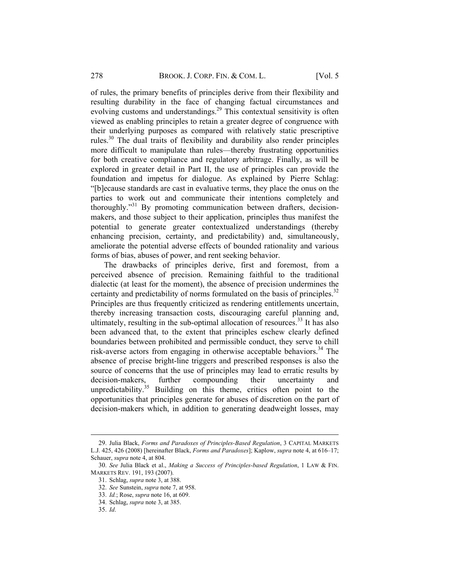of rules, the primary benefits of principles derive from their flexibility and resulting durability in the face of changing factual circumstances and evolving customs and understandings.<sup>29</sup> This contextual sensitivity is often viewed as enabling principles to retain a greater degree of congruence with their underlying purposes as compared with relatively static prescriptive rules.<sup>30</sup> The dual traits of flexibility and durability also render principles more difficult to manipulate than rules—thereby frustrating opportunities for both creative compliance and regulatory arbitrage. Finally, as will be explored in greater detail in Part II, the use of principles can provide the foundation and impetus for dialogue. As explained by Pierre Schlag: "[b]ecause standards are cast in evaluative terms, they place the onus on the parties to work out and communicate their intentions completely and thoroughly."31 By promoting communication between drafters, decisionmakers, and those subject to their application, principles thus manifest the potential to generate greater contextualized understandings (thereby enhancing precision, certainty, and predictability) and, simultaneously, ameliorate the potential adverse effects of bounded rationality and various forms of bias, abuses of power, and rent seeking behavior.

The drawbacks of principles derive, first and foremost, from a perceived absence of precision. Remaining faithful to the traditional dialectic (at least for the moment), the absence of precision undermines the certainty and predictability of norms formulated on the basis of principles.<sup>32</sup> Principles are thus frequently criticized as rendering entitlements uncertain, thereby increasing transaction costs, discouraging careful planning and, ultimately, resulting in the sub-optimal allocation of resources.<sup>33</sup> It has also been advanced that, to the extent that principles eschew clearly defined boundaries between prohibited and permissible conduct, they serve to chill risk-averse actors from engaging in otherwise acceptable behaviors.<sup>34</sup> The absence of precise bright-line triggers and prescribed responses is also the source of concerns that the use of principles may lead to erratic results by decision-makers, further compounding their uncertainty and unpredictability. $35$  Building on this theme, critics often point to the opportunities that principles generate for abuses of discretion on the part of decision-makers which, in addition to generating deadweight losses, may

<sup>29.</sup> Julia Black, *Forms and Paradoxes of Principles-Based Regulation*, 3 CAPITAL MARKETS L.J. 425, 426 (2008) [hereinafter Black, *Forms and Paradoxes*]; Kaplow, *supra* note 4, at 616–17; Schauer, *supra* note 4, at 804.

<sup>30.</sup> *See* Julia Black et al., *Making a Success of Principles-based Regulation*, 1 LAW & FIN. MARKETS REV. 191, 193 (2007).

<sup>31.</sup> Schlag, *supra* note 3, at 388.

<sup>32.</sup> *See* Sunstein, *supra* note 7, at 958.

<sup>33.</sup> *Id.*; Rose, *supra* note 16, at 609.

<sup>34.</sup> Schlag, *supra* note 3, at 385.

<sup>35.</sup> *Id*.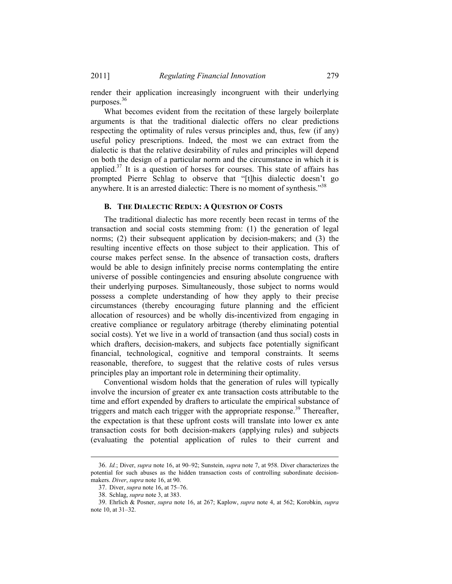render their application increasingly incongruent with their underlying purposes.<sup>36</sup>

What becomes evident from the recitation of these largely boilerplate arguments is that the traditional dialectic offers no clear predictions respecting the optimality of rules versus principles and, thus, few (if any) useful policy prescriptions. Indeed, the most we can extract from the dialectic is that the relative desirability of rules and principles will depend on both the design of a particular norm and the circumstance in which it is applied.<sup>37</sup> It is a question of horses for courses. This state of affairs has prompted Pierre Schlag to observe that "[t]his dialectic doesn't go anywhere. It is an arrested dialectic: There is no moment of synthesis."<sup>38</sup>

#### **B. THE DIALECTIC REDUX: A QUESTION OF COSTS**

The traditional dialectic has more recently been recast in terms of the transaction and social costs stemming from: (1) the generation of legal norms; (2) their subsequent application by decision-makers; and (3) the resulting incentive effects on those subject to their application. This of course makes perfect sense. In the absence of transaction costs, drafters would be able to design infinitely precise norms contemplating the entire universe of possible contingencies and ensuring absolute congruence with their underlying purposes. Simultaneously, those subject to norms would possess a complete understanding of how they apply to their precise circumstances (thereby encouraging future planning and the efficient allocation of resources) and be wholly dis-incentivized from engaging in creative compliance or regulatory arbitrage (thereby eliminating potential social costs). Yet we live in a world of transaction (and thus social) costs in which drafters, decision-makers, and subjects face potentially significant financial, technological, cognitive and temporal constraints. It seems reasonable, therefore, to suggest that the relative costs of rules versus principles play an important role in determining their optimality.

Conventional wisdom holds that the generation of rules will typically involve the incursion of greater ex ante transaction costs attributable to the time and effort expended by drafters to articulate the empirical substance of triggers and match each trigger with the appropriate response.<sup>39</sup> Thereafter, the expectation is that these upfront costs will translate into lower ex ante transaction costs for both decision-makers (applying rules) and subjects (evaluating the potential application of rules to their current and

<sup>36.</sup> *Id.*; Diver, *supra* note 16, at 90–92; Sunstein, *supra* note 7, at 958. Diver characterizes the potential for such abuses as the hidden transaction costs of controlling subordinate decisionmakers. *Diver*, *supra* note 16, at 90.

<sup>37.</sup> Diver, *supra* note 16, at 75–76.

<sup>38.</sup> Schlag, *supra* note 3, at 383.

<sup>39.</sup> Ehrlich & Posner, *supra* note 16, at 267; Kaplow, *supra* note 4, at 562; Korobkin, *supra* note 10, at 31–32.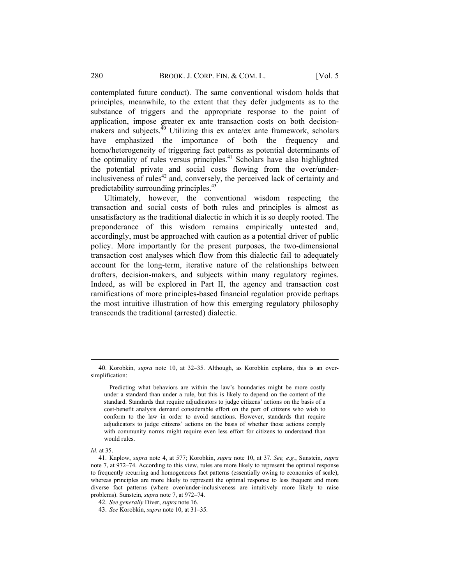contemplated future conduct). The same conventional wisdom holds that principles, meanwhile, to the extent that they defer judgments as to the substance of triggers and the appropriate response to the point of application, impose greater ex ante transaction costs on both decisionmakers and subjects. $^{40}$  Utilizing this ex ante/ex ante framework, scholars have emphasized the importance of both the frequency and homo/heterogeneity of triggering fact patterns as potential determinants of the optimality of rules versus principles.<sup>41</sup> Scholars have also highlighted the potential private and social costs flowing from the over/underinclusiveness of rules $42$  and, conversely, the perceived lack of certainty and predictability surrounding principles.<sup>43</sup>

Ultimately, however, the conventional wisdom respecting the transaction and social costs of both rules and principles is almost as unsatisfactory as the traditional dialectic in which it is so deeply rooted. The preponderance of this wisdom remains empirically untested and, accordingly, must be approached with caution as a potential driver of public policy. More importantly for the present purposes, the two-dimensional transaction cost analyses which flow from this dialectic fail to adequately account for the long-term, iterative nature of the relationships between drafters, decision-makers, and subjects within many regulatory regimes. Indeed, as will be explored in Part II, the agency and transaction cost ramifications of more principles-based financial regulation provide perhaps the most intuitive illustration of how this emerging regulatory philosophy transcends the traditional (arrested) dialectic.

<sup>40.</sup> Korobkin, *supra* note 10, at 32–35. Although, as Korobkin explains, this is an oversimplification:

Predicting what behaviors are within the law's boundaries might be more costly under a standard than under a rule, but this is likely to depend on the content of the standard. Standards that require adjudicators to judge citizens' actions on the basis of a cost-benefit analysis demand considerable effort on the part of citizens who wish to conform to the law in order to avoid sanctions. However, standards that require adjudicators to judge citizens' actions on the basis of whether those actions comply with community norms might require even less effort for citizens to understand than would rules.

*Id*. at 35.

<sup>41.</sup> Kaplow, *supra* note 4, at 577; Korobkin, *supra* note 10, at 37. *See, e.g.*, Sunstein, *supra* note 7, at 972–74. According to this view, rules are more likely to represent the optimal response to frequently recurring and homogeneous fact patterns (essentially owing to economies of scale), whereas principles are more likely to represent the optimal response to less frequent and more diverse fact patterns (where over/under-inclusiveness are intuitively more likely to raise problems). Sunstein, *supra* note 7, at 972–74.

<sup>42.</sup> *See generally* Diver, *supra* note 16.

<sup>43.</sup> *See* Korobkin, *supra* note 10, at 31–35.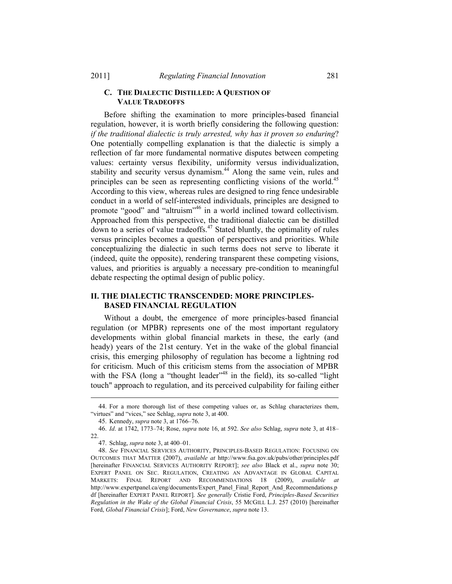## **C. THE DIALECTIC DISTILLED: A QUESTION OF VALUE TRADEOFFS**

Before shifting the examination to more principles-based financial regulation, however, it is worth briefly considering the following question: *if the traditional dialectic is truly arrested, why has it proven so enduring*? One potentially compelling explanation is that the dialectic is simply a reflection of far more fundamental normative disputes between competing values: certainty versus flexibility, uniformity versus individualization, stability and security versus dynamism.<sup>44</sup> Along the same vein, rules and principles can be seen as representing conflicting visions of the world.<sup>45</sup> According to this view, whereas rules are designed to ring fence undesirable conduct in a world of self-interested individuals, principles are designed to promote "good" and "altruism"46 in a world inclined toward collectivism. Approached from this perspective, the traditional dialectic can be distilled down to a series of value tradeoffs.47 Stated bluntly, the optimality of rules versus principles becomes a question of perspectives and priorities. While conceptualizing the dialectic in such terms does not serve to liberate it (indeed, quite the opposite), rendering transparent these competing visions, values, and priorities is arguably a necessary pre-condition to meaningful debate respecting the optimal design of public policy.

# **II. THE DIALECTIC TRANSCENDED: MORE PRINCIPLES-BASED FINANCIAL REGULATION**

Without a doubt, the emergence of more principles-based financial regulation (or MPBR) represents one of the most important regulatory developments within global financial markets in these, the early (and heady) years of the 21st century. Yet in the wake of the global financial crisis, this emerging philosophy of regulation has become a lightning rod for criticism. Much of this criticism stems from the association of MPBR with the FSA (long a "thought leader"<sup>48</sup> in the field), its so-called "light" touch" approach to regulation, and its perceived culpability for failing either

<sup>44.</sup> For a more thorough list of these competing values or, as Schlag characterizes them, "virtues" and "vices," see Schlag, *supra* note 3, at 400.

<sup>45.</sup> Kennedy, *supra* note 3, at 1766–76.

<sup>46.</sup> *Id*. at 1742, 1773–74; Rose, *supra* note 16, at 592. *See also* Schlag, *supra* note 3, at 418– 22.

<sup>47.</sup> Schlag, *supra* note 3, at 400–01.

<sup>48.</sup> *See* FINANCIAL SERVICES AUTHORITY, PRINCIPLES-BASED REGULATION: FOCUSING ON OUTCOMES THAT MATTER (2007), *available at* http://www.fsa.gov.uk/pubs/other/principles.pdf [hereinafter FINANCIAL SERVICES AUTHORITY REPORT]; *see also* Black et al., *supra* note 30; EXPERT PANEL ON SEC. REGULATION, CREATING AN ADVANTAGE IN GLOBAL CAPITAL MARKETS: FINAL REPORT AND RECOMMENDATIONS 18 (2009), *available at* http://www.expertpanel.ca/eng/documents/Expert\_Panel\_Final\_Report\_And\_Recommendations.p df [hereinafter EXPERT PANEL REPORT]. *See generally* Cristie Ford, *Principles-Based Securities Regulation in the Wake of the Global Financial Crisis*, 55 MCGILL L.J. 257 (2010) [hereinafter Ford, *Global Financial Crisis*]; Ford, *New Governance*, *supra* note 13.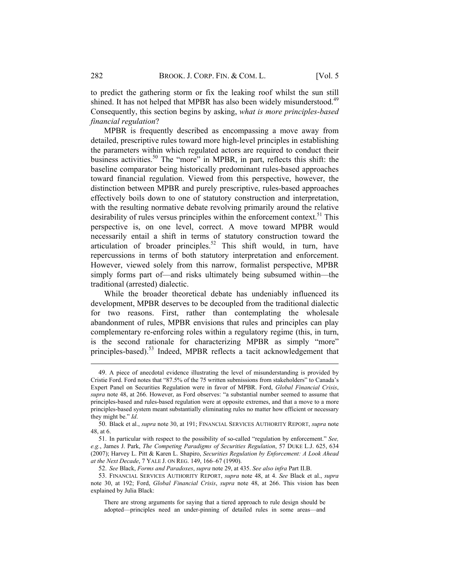to predict the gathering storm or fix the leaking roof whilst the sun still shined. It has not helped that MPBR has also been widely misunderstood.<sup>49</sup> Consequently, this section begins by asking, *what is more principles-based financial regulation*?

MPBR is frequently described as encompassing a move away from detailed, prescriptive rules toward more high-level principles in establishing the parameters within which regulated actors are required to conduct their business activities.<sup>50</sup> The "more" in MPBR, in part, reflects this shift: the baseline comparator being historically predominant rules-based approaches toward financial regulation. Viewed from this perspective, however, the distinction between MPBR and purely prescriptive, rules-based approaches effectively boils down to one of statutory construction and interpretation, with the resulting normative debate revolving primarily around the relative desirability of rules versus principles within the enforcement context.<sup>51</sup> This perspective is, on one level, correct. A move toward MPBR would necessarily entail a shift in terms of statutory construction toward the articulation of broader principles.<sup>52</sup> This shift would, in turn, have repercussions in terms of both statutory interpretation and enforcement. However, viewed solely from this narrow, formalist perspective, MPBR simply forms part of—and risks ultimately being subsumed within—the traditional (arrested) dialectic.

While the broader theoretical debate has undeniably influenced its development, MPBR deserves to be decoupled from the traditional dialectic for two reasons. First, rather than contemplating the wholesale abandonment of rules, MPBR envisions that rules and principles can play complementary re-enforcing roles within a regulatory regime (this, in turn, is the second rationale for characterizing MPBR as simply "more" principles-based).<sup>53</sup> Indeed, MPBR reflects a tacit acknowledgement that

<sup>49.</sup> A piece of anecdotal evidence illustrating the level of misunderstanding is provided by Cristie Ford. Ford notes that "87.5% of the 75 written submissions from stakeholders" to Canada's Expert Panel on Securities Regulation were in favor of MPBR. Ford, *Global Financial Crisis*, *supra* note 48, at 266. However, as Ford observes: "a substantial number seemed to assume that principles-based and rules-based regulation were at opposite extremes, and that a move to a more principles-based system meant substantially eliminating rules no matter how efficient or necessary they might be." *Id*.

<sup>50.</sup> Black et al., *supra* note 30, at 191; FINANCIAL SERVICES AUTHORITY REPORT, *supra* note 48, at 6.

<sup>51.</sup> In particular with respect to the possibility of so-called "regulation by enforcement." *See, e.g.*, James J. Park, *The Competing Paradigms of Securities Regulation*, 57 DUKE L.J. 625, 634 (2007); Harvey L. Pitt & Karen L. Shapiro, *Securities Regulation by Enforcement: A Look Ahead at the Next Decade*, 7 YALE J. ON REG. 149, 166–67 (1990).

<sup>52.</sup> *See* Black, *Forms and Paradoxes*, *supra* note 29, at 435. *See also infra* Part II.B.

<sup>53.</sup> FINANCIAL SERVICES AUTHORITY REPORT, *supra* note 48, at 4. *See* Black et al., *supra* note 30, at 192; Ford, *Global Financial Crisis*, *supra* note 48, at 266. This vision has been explained by Julia Black:

There are strong arguments for saying that a tiered approach to rule design should be adopted—principles need an under-pinning of detailed rules in some areas—and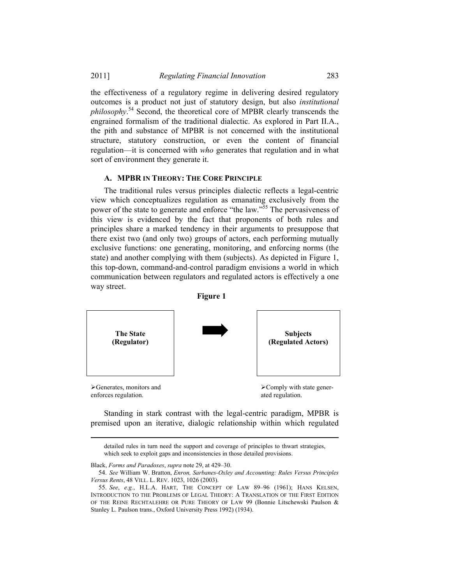#### 2011] *Regulating Financial Innovation* 283

the effectiveness of a regulatory regime in delivering desired regulatory outcomes is a product not just of statutory design, but also *institutional philosophy*. 54 Second, the theoretical core of MPBR clearly transcends the engrained formalism of the traditional dialectic. As explored in Part II.A., the pith and substance of MPBR is not concerned with the institutional structure, statutory construction, or even the content of financial regulation—it is concerned with *who* generates that regulation and in what sort of environment they generate it.

# **A. MPBR IN THEORY: THE CORE PRINCIPLE**

The traditional rules versus principles dialectic reflects a legal-centric view which conceptualizes regulation as emanating exclusively from the power of the state to generate and enforce "the law."55 The pervasiveness of this view is evidenced by the fact that proponents of both rules and principles share a marked tendency in their arguments to presuppose that there exist two (and only two) groups of actors, each performing mutually exclusive functions: one generating, monitoring, and enforcing norms (the state) and another complying with them (subjects). As depicted in Figure 1, this top-down, command-and-control paradigm envisions a world in which communication between regulators and regulated actors is effectively a one way street.



Standing in stark contrast with the legal-centric paradigm, MPBR is premised upon an iterative, dialogic relationship within which regulated

 detailed rules in turn need the support and coverage of principles to thwart strategies, which seek to exploit gaps and inconsistencies in those detailed provisions.

Black, *Forms and Paradoxes*, *supra* note 29, at 429–30.

<sup>54.</sup> *See* William W. Bratton, *Enron, Sarbanes-Oxley and Accounting: Rules Versus Principles Versus Rents*, 48 VILL. L. REV. 1023, 1026 (2003).

<sup>55.</sup> *See*, *e.g.*, H.L.A. HART, THE CONCEPT OF LAW 89–96 (1961); HANS KELSEN, INTRODUCTION TO THE PROBLEMS OF LEGAL THEORY: A TRANSLATION OF THE FIRST EDITION OF THE REINE RECHTALEHRE OR PURE THEORY OF LAW 99 (Bonnie Litschewski Paulson & Stanley L. Paulson trans., Oxford University Press 1992) (1934).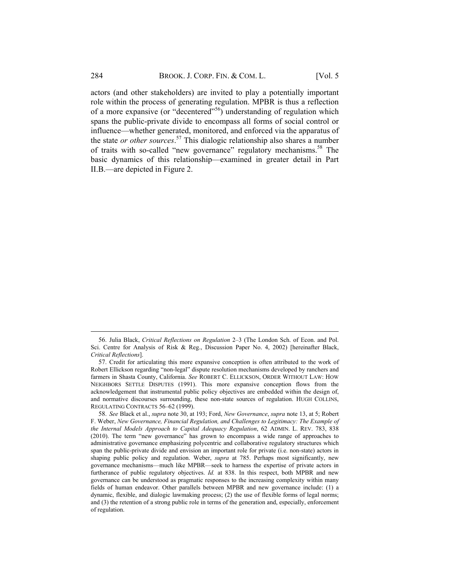actors (and other stakeholders) are invited to play a potentially important role within the process of generating regulation. MPBR is thus a reflection of a more expansive (or "decentered"56) understanding of regulation which spans the public-private divide to encompass all forms of social control or influence—whether generated, monitored, and enforced via the apparatus of the state *or other sources*. 57 This dialogic relationship also shares a number of traits with so-called "new governance" regulatory mechanisms.<sup>58</sup> The basic dynamics of this relationship—examined in greater detail in Part II.B.—are depicted in Figure 2.

<sup>56.</sup> Julia Black, *Critical Reflections on Regulation* 2–3 (The London Sch. of Econ. and Pol. Sci. Centre for Analysis of Risk & Reg., Discussion Paper No. 4, 2002) [hereinafter Black, *Critical Reflections*].

<sup>57.</sup> Credit for articulating this more expansive conception is often attributed to the work of Robert Ellickson regarding "non-legal" dispute resolution mechanisms developed by ranchers and farmers in Shasta County, California. *See* ROBERT C. ELLICKSON, ORDER WITHOUT LAW: HOW NEIGHBORS SETTLE DISPUTES (1991). This more expansive conception flows from the acknowledgement that instrumental public policy objectives are embedded within the design of, and normative discourses surrounding, these non-state sources of regulation. HUGH COLLINS, REGULATING CONTRACTS 56–62 (1999).

<sup>58.</sup> *See* Black et al., *supra* note 30, at 193; Ford, *New Governance*, *supra* note 13, at 5; Robert F. Weber, *New Governance, Financial Regulation, and Challenges to Legitimacy: The Example of the Internal Models Approach to Capital Adequacy Regulation*, 62 ADMIN. L. REV. 783, 838 (2010). The term "new governance" has grown to encompass a wide range of approaches to administrative governance emphasizing polycentric and collaborative regulatory structures which span the public-private divide and envision an important role for private (i.e. non-state) actors in shaping public policy and regulation. Weber, *supra* at 785. Perhaps most significantly, new governance mechanisms—much like MPBR—seek to harness the expertise of private actors in furtherance of public regulatory objectives. *Id.* at 838. In this respect, both MPBR and new governance can be understood as pragmatic responses to the increasing complexity within many fields of human endeavor. Other parallels between MPBR and new governance include: (1) a dynamic, flexible, and dialogic lawmaking process; (2) the use of flexible forms of legal norms; and (3) the retention of a strong public role in terms of the generation and, especially, enforcement of regulation.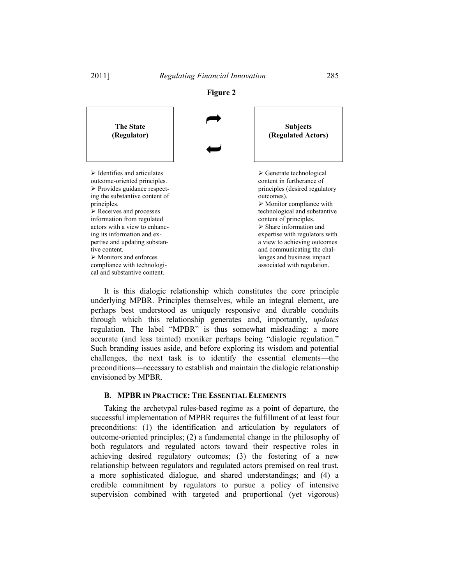

It is this dialogic relationship which constitutes the core principle underlying MPBR. Principles themselves, while an integral element, are perhaps best understood as uniquely responsive and durable conduits through which this relationship generates and, importantly, *updates* regulation. The label "MPBR" is thus somewhat misleading: a more accurate (and less tainted) moniker perhaps being "dialogic regulation." Such branding issues aside, and before exploring its wisdom and potential challenges, the next task is to identify the essential elements—the preconditions—necessary to establish and maintain the dialogic relationship envisioned by MPBR.

#### **B. MPBR IN PRACTICE: THE ESSENTIAL ELEMENTS**

Taking the archetypal rules-based regime as a point of departure, the successful implementation of MPBR requires the fulfillment of at least four preconditions: (1) the identification and articulation by regulators of outcome-oriented principles; (2) a fundamental change in the philosophy of both regulators and regulated actors toward their respective roles in achieving desired regulatory outcomes; (3) the fostering of a new relationship between regulators and regulated actors premised on real trust, a more sophisticated dialogue, and shared understandings; and (4) a credible commitment by regulators to pursue a policy of intensive supervision combined with targeted and proportional (yet vigorous)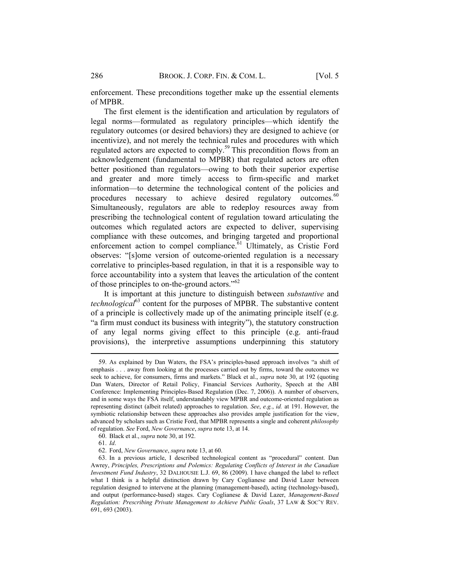enforcement. These preconditions together make up the essential elements of MPBR.

The first element is the identification and articulation by regulators of legal norms—formulated as regulatory principles—which identify the regulatory outcomes (or desired behaviors) they are designed to achieve (or incentivize), and not merely the technical rules and procedures with which regulated actors are expected to comply.<sup>59</sup> This precondition flows from an acknowledgement (fundamental to MPBR) that regulated actors are often better positioned than regulators—owing to both their superior expertise and greater and more timely access to firm-specific and market information—to determine the technological content of the policies and procedures necessary to achieve desired regulatory outcomes.<sup>60</sup> Simultaneously, regulators are able to redeploy resources away from prescribing the technological content of regulation toward articulating the outcomes which regulated actors are expected to deliver, supervising compliance with these outcomes, and bringing targeted and proportional enforcement action to compel compliance.<sup>61</sup> Ultimately, as Cristie Ford observes: "[s]ome version of outcome-oriented regulation is a necessary correlative to principles-based regulation, in that it is a responsible way to force accountability into a system that leaves the articulation of the content of those principles to on-the-ground actors."<sup>62</sup>

It is important at this juncture to distinguish between *substantive* and *technological*<sup>63</sup> content for the purposes of MPBR. The substantive content of a principle is collectively made up of the animating principle itself (e.g. "a firm must conduct its business with integrity"), the statutory construction of any legal norms giving effect to this principle (e.g. anti-fraud provisions), the interpretive assumptions underpinning this statutory

<sup>59.</sup> As explained by Dan Waters, the FSA's principles-based approach involves "a shift of emphasis . . . away from looking at the processes carried out by firms, toward the outcomes we seek to achieve, for consumers, firms and markets." Black et al., *supra* note 30, at 192 (quoting Dan Waters, Director of Retail Policy, Financial Services Authority, Speech at the ABI Conference: Implementing Principles-Based Regulation (Dec. 7, 2006)). A number of observers, and in some ways the FSA itself, understandably view MPBR and outcome-oriented regulation as representing distinct (albeit related) approaches to regulation. *See*, *e.g.*, *id.* at 191. However, the symbiotic relationship between these approaches also provides ample justification for the view, advanced by scholars such as Cristie Ford, that MPBR represents a single and coherent *philosophy* of regulation. *See* Ford, *New Governance*, *supra* note 13, at 14.

<sup>60.</sup> Black et al., *supra* note 30, at 192.

<sup>61.</sup> *Id*.

<sup>62.</sup> Ford, *New Governance*, *supra* note 13, at 60.

<sup>63.</sup> In a previous article, I described technological content as "procedural" content. Dan Awrey, *Principles, Prescriptions and Polemics: Regulating Conflicts of Interest in the Canadian Investment Fund Industry*, 32 DALHOUSIE L.J. 69, 86 (2009). I have changed the label to reflect what I think is a helpful distinction drawn by Cary Coglianese and David Lazer between regulation designed to intervene at the planning (management-based), acting (technology-based), and output (performance-based) stages. Cary Coglianese & David Lazer, *Management-Based Regulation: Prescribing Private Management to Achieve Public Goals*, 37 LAW & SOC'Y REV. 691, 693 (2003).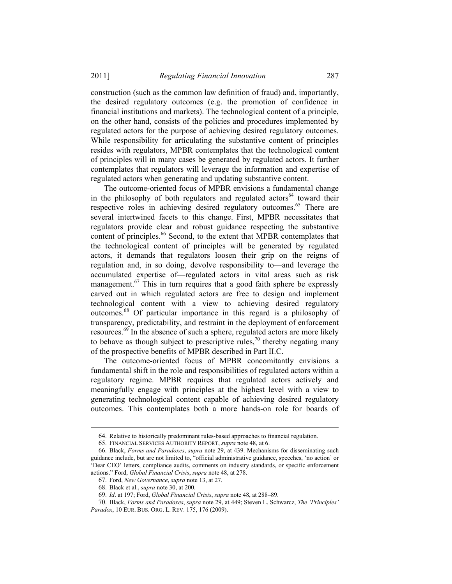construction (such as the common law definition of fraud) and, importantly, the desired regulatory outcomes (e.g. the promotion of confidence in financial institutions and markets). The technological content of a principle, on the other hand, consists of the policies and procedures implemented by regulated actors for the purpose of achieving desired regulatory outcomes. While responsibility for articulating the substantive content of principles resides with regulators, MPBR contemplates that the technological content of principles will in many cases be generated by regulated actors. It further contemplates that regulators will leverage the information and expertise of regulated actors when generating and updating substantive content.

The outcome-oriented focus of MPBR envisions a fundamental change in the philosophy of both regulators and regulated actors<sup>64</sup> toward their respective roles in achieving desired regulatory outcomes.<sup>65</sup> There are several intertwined facets to this change. First, MPBR necessitates that regulators provide clear and robust guidance respecting the substantive content of principles.<sup>66</sup> Second, to the extent that MPBR contemplates that the technological content of principles will be generated by regulated actors, it demands that regulators loosen their grip on the reigns of regulation and, in so doing, devolve responsibility to—and leverage the accumulated expertise of—regulated actors in vital areas such as risk management. $67$  This in turn requires that a good faith sphere be expressly carved out in which regulated actors are free to design and implement technological content with a view to achieving desired regulatory outcomes.68 Of particular importance in this regard is a philosophy of transparency, predictability, and restraint in the deployment of enforcement resources.<sup>69</sup> In the absence of such a sphere, regulated actors are more likely to behave as though subject to prescriptive rules,<sup>70</sup> thereby negating many of the prospective benefits of MPBR described in Part II.C.

The outcome-oriented focus of MPBR concomitantly envisions a fundamental shift in the role and responsibilities of regulated actors within a regulatory regime. MPBR requires that regulated actors actively and meaningfully engage with principles at the highest level with a view to generating technological content capable of achieving desired regulatory outcomes. This contemplates both a more hands-on role for boards of

<sup>64.</sup> Relative to historically predominant rules-based approaches to financial regulation.

<sup>65.</sup> FINANCIAL SERVICES AUTHORITY REPORT, *supra* note 48, at 6.

<sup>66.</sup> Black, *Forms and Paradoxes*, *supra* note 29, at 439. Mechanisms for disseminating such guidance include, but are not limited to, "official administrative guidance, speeches, 'no action' or 'Dear CEO' letters, compliance audits, comments on industry standards, or specific enforcement actions." Ford, *Global Financial Crisis*, *supra* note 48, at 278.

<sup>67.</sup> Ford, *New Governance*, *supra* note 13, at 27.

<sup>68.</sup> Black et al., *supra* note 30, at 200.

<sup>69.</sup> *Id*. at 197; Ford, *Global Financial Crisis*, *supra* note 48, at 288–89.

<sup>70.</sup> Black, *Forms and Paradoxes*, *supra* note 29, at 449; Steven L. Schwarcz, *The 'Principles' Paradox*, 10 EUR. BUS. ORG. L. REV. 175, 176 (2009).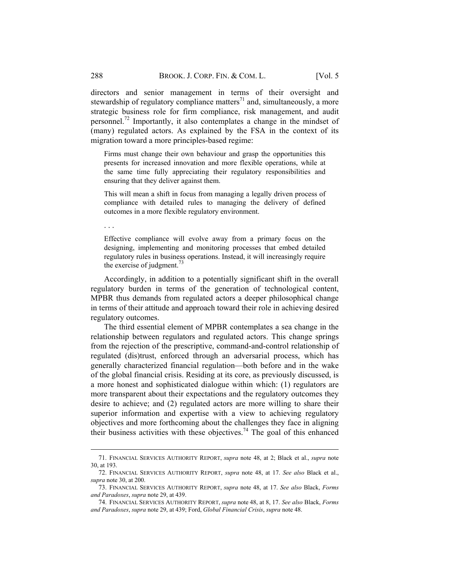directors and senior management in terms of their oversight and stewardship of regulatory compliance matters<sup>71</sup> and, simultaneously, a more strategic business role for firm compliance, risk management, and audit personnel.72 Importantly, it also contemplates a change in the mindset of (many) regulated actors. As explained by the FSA in the context of its migration toward a more principles-based regime:

Firms must change their own behaviour and grasp the opportunities this presents for increased innovation and more flexible operations, while at the same time fully appreciating their regulatory responsibilities and ensuring that they deliver against them.

This will mean a shift in focus from managing a legally driven process of compliance with detailed rules to managing the delivery of defined outcomes in a more flexible regulatory environment.

. . .

 $\overline{a}$ 

Effective compliance will evolve away from a primary focus on the designing, implementing and monitoring processes that embed detailed regulatory rules in business operations. Instead, it will increasingly require the exercise of judgment. $^{73}$ 

Accordingly, in addition to a potentially significant shift in the overall regulatory burden in terms of the generation of technological content, MPBR thus demands from regulated actors a deeper philosophical change in terms of their attitude and approach toward their role in achieving desired regulatory outcomes.

The third essential element of MPBR contemplates a sea change in the relationship between regulators and regulated actors. This change springs from the rejection of the prescriptive, command-and-control relationship of regulated (dis)trust, enforced through an adversarial process, which has generally characterized financial regulation—both before and in the wake of the global financial crisis. Residing at its core, as previously discussed, is a more honest and sophisticated dialogue within which: (1) regulators are more transparent about their expectations and the regulatory outcomes they desire to achieve; and (2) regulated actors are more willing to share their superior information and expertise with a view to achieving regulatory objectives and more forthcoming about the challenges they face in aligning their business activities with these objectives.<sup>74</sup> The goal of this enhanced

<sup>71.</sup> FINANCIAL SERVICES AUTHORITY REPORT, *supra* note 48, at 2; Black et al., *supra* note 30, at 193.

<sup>72.</sup> FINANCIAL SERVICES AUTHORITY REPORT, *supra* note 48, at 17. *See also* Black et al., *supra* note 30, at 200.

<sup>73.</sup> FINANCIAL SERVICES AUTHORITY REPORT, *supra* note 48, at 17. *See also* Black, *Forms and Paradoxes*, *supra* note 29, at 439.

<sup>74.</sup> FINANCIAL SERVICES AUTHORITY REPORT, *supra* note 48, at 8, 17. *See also* Black, *Forms and Paradoxes*, *supra* note 29, at 439; Ford, *Global Financial Crisis*, *supra* note 48.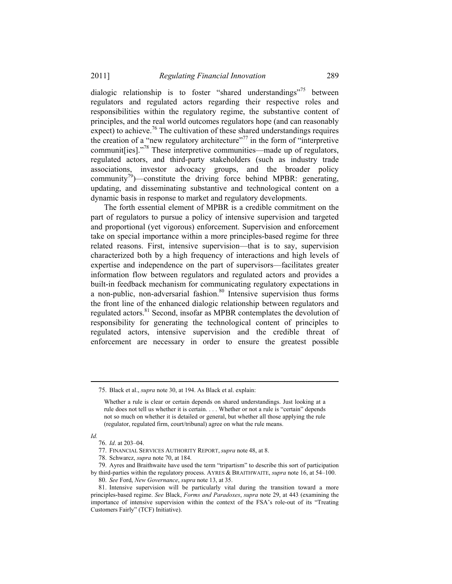dialogic relationship is to foster "shared understandings"<sup>75</sup> between regulators and regulated actors regarding their respective roles and responsibilities within the regulatory regime, the substantive content of principles, and the real world outcomes regulators hope (and can reasonably expect) to achieve.<sup>76</sup> The cultivation of these shared understandings requires the creation of a "new regulatory architecture"<sup>77</sup> in the form of "interpretive" communit [ies]."<sup>78</sup> These interpretive communities—made up of regulators, regulated actors, and third-party stakeholders (such as industry trade associations, investor advocacy groups, and the broader policy community<sup>79</sup>)—constitute the driving force behind MPBR: generating, updating, and disseminating substantive and technological content on a dynamic basis in response to market and regulatory developments.

The forth essential element of MPBR is a credible commitment on the part of regulators to pursue a policy of intensive supervision and targeted and proportional (yet vigorous) enforcement. Supervision and enforcement take on special importance within a more principles-based regime for three related reasons. First, intensive supervision—that is to say, supervision characterized both by a high frequency of interactions and high levels of expertise and independence on the part of supervisors—facilitates greater information flow between regulators and regulated actors and provides a built-in feedback mechanism for communicating regulatory expectations in a non-public, non-adversarial fashion.<sup>80</sup> Intensive supervision thus forms the front line of the enhanced dialogic relationship between regulators and regulated actors.<sup>81</sup> Second, insofar as MPBR contemplates the devolution of responsibility for generating the technological content of principles to regulated actors, intensive supervision and the credible threat of enforcement are necessary in order to ensure the greatest possible

*Id.*

<sup>75.</sup> Black et al., *supra* note 30, at 194. As Black et al. explain:

Whether a rule is clear or certain depends on shared understandings. Just looking at a rule does not tell us whether it is certain. . . . Whether or not a rule is "certain" depends not so much on whether it is detailed or general, but whether all those applying the rule (regulator, regulated firm, court/tribunal) agree on what the rule means.

<sup>76.</sup> *Id*. at 203–04.

<sup>77.</sup> FINANCIAL SERVICES AUTHORITY REPORT, *supra* note 48, at 8.

<sup>78.</sup> Schwarcz, *supra* note 70, at 184.

<sup>79.</sup> Ayres and Braithwaite have used the term "tripartism" to describe this sort of participation by third-parties within the regulatory process. AYRES & BRAITHWAITE, *supra* note 16, at 54–100. 80. *See* Ford, *New Governance*, *supra* note 13, at 35.

<sup>81.</sup> Intensive supervision will be particularly vital during the transition toward a more principles-based regime. *See* Black, *Forms and Paradoxes*, *supra* note 29, at 443 (examining the importance of intensive supervision within the context of the FSA's role-out of its "Treating Customers Fairly" (TCF) Initiative).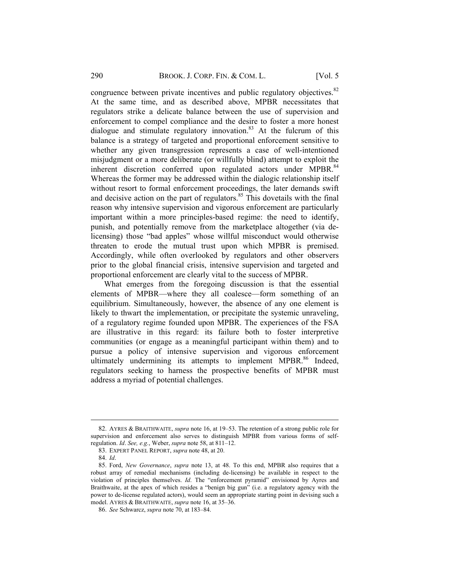congruence between private incentives and public regulatory objectives.<sup>82</sup> At the same time, and as described above, MPBR necessitates that regulators strike a delicate balance between the use of supervision and enforcement to compel compliance and the desire to foster a more honest dialogue and stimulate regulatory innovation.<sup>83</sup> At the fulcrum of this balance is a strategy of targeted and proportional enforcement sensitive to whether any given transgression represents a case of well-intentioned misjudgment or a more deliberate (or willfully blind) attempt to exploit the inherent discretion conferred upon regulated actors under MPBR.<sup>84</sup> Whereas the former may be addressed within the dialogic relationship itself without resort to formal enforcement proceedings, the later demands swift and decisive action on the part of regulators.<sup>85</sup> This dovetails with the final reason why intensive supervision and vigorous enforcement are particularly important within a more principles-based regime: the need to identify, punish, and potentially remove from the marketplace altogether (via delicensing) those "bad apples" whose willful misconduct would otherwise threaten to erode the mutual trust upon which MPBR is premised. Accordingly, while often overlooked by regulators and other observers prior to the global financial crisis, intensive supervision and targeted and proportional enforcement are clearly vital to the success of MPBR.

What emerges from the foregoing discussion is that the essential elements of MPBR—where they all coalesce—form something of an equilibrium. Simultaneously, however, the absence of any one element is likely to thwart the implementation, or precipitate the systemic unraveling, of a regulatory regime founded upon MPBR. The experiences of the FSA are illustrative in this regard: its failure both to foster interpretive communities (or engage as a meaningful participant within them) and to pursue a policy of intensive supervision and vigorous enforcement ultimately undermining its attempts to implement MPBR.<sup>86</sup> Indeed, regulators seeking to harness the prospective benefits of MPBR must address a myriad of potential challenges.

<sup>82.</sup> AYRES & BRAITHWAITE, *supra* note 16, at 19–53. The retention of a strong public role for supervision and enforcement also serves to distinguish MPBR from various forms of selfregulation. *Id*. *See, e.g.*, Weber, *supra* note 58, at 811–12.

<sup>83.</sup> EXPERT PANEL REPORT, *supra* note 48, at 20.

<sup>84.</sup> *Id*.

<sup>85.</sup> Ford, *New Governance*, *supra* note 13, at 48. To this end, MPBR also requires that a robust array of remedial mechanisms (including de-licensing) be available in respect to the violation of principles themselves. *Id*. The "enforcement pyramid" envisioned by Ayres and Braithwaite, at the apex of which resides a "benign big gun" (i.e. a regulatory agency with the power to de-license regulated actors), would seem an appropriate starting point in devising such a model. AYRES & BRAITHWAITE, *supra* note 16, at 35–36.

<sup>86.</sup> *See* Schwarcz, *supra* note 70, at 183–84.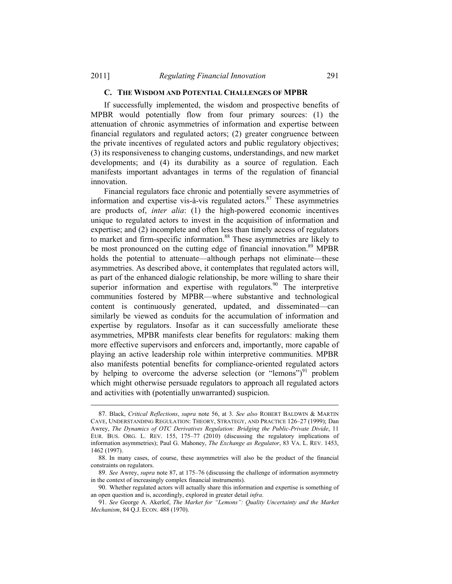#### **C. THE WISDOM AND POTENTIAL CHALLENGES OF MPBR**

If successfully implemented, the wisdom and prospective benefits of MPBR would potentially flow from four primary sources: (1) the attenuation of chronic asymmetries of information and expertise between financial regulators and regulated actors; (2) greater congruence between the private incentives of regulated actors and public regulatory objectives; (3) its responsiveness to changing customs, understandings, and new market developments; and (4) its durability as a source of regulation. Each manifests important advantages in terms of the regulation of financial innovation.

Financial regulators face chronic and potentially severe asymmetries of information and expertise vis-à-vis regulated actors. $87$  These asymmetries are products of, *inter alia*: (1) the high-powered economic incentives unique to regulated actors to invest in the acquisition of information and expertise; and (2) incomplete and often less than timely access of regulators to market and firm-specific information.<sup>88</sup> These asymmetries are likely to be most pronounced on the cutting edge of financial innovation.<sup>89</sup> MPBR holds the potential to attenuate—although perhaps not eliminate—these asymmetries. As described above, it contemplates that regulated actors will, as part of the enhanced dialogic relationship, be more willing to share their superior information and expertise with regulators.<sup>90</sup> The interpretive communities fostered by MPBR—where substantive and technological content is continuously generated, updated, and disseminated—can similarly be viewed as conduits for the accumulation of information and expertise by regulators. Insofar as it can successfully ameliorate these asymmetries, MPBR manifests clear benefits for regulators: making them more effective supervisors and enforcers and, importantly, more capable of playing an active leadership role within interpretive communities. MPBR also manifests potential benefits for compliance-oriented regulated actors by helping to overcome the adverse selection (or "lemons")<sup>91</sup> problem which might otherwise persuade regulators to approach all regulated actors and activities with (potentially unwarranted) suspicion.

<sup>87.</sup> Black, *Critical Reflections*, *supra* note 56, at 3. *See also* ROBERT BALDWIN & MARTIN CAVE, UNDERSTANDING REGULATION: THEORY, STRATEGY, AND PRACTICE 126–27 (1999); Dan Awrey, *The Dynamics of OTC Derivatives Regulation: Bridging the Public-Private Divide*, 11 EUR. BUS. ORG. L. REV. 155, 175–77 (2010) (discussing the regulatory implications of information asymmetries); Paul G. Mahoney, *The Exchange as Regulator*, 83 VA. L. REV. 1453, 1462 (1997).

<sup>88.</sup> In many cases, of course, these asymmetries will also be the product of the financial constraints on regulators.

<sup>89.</sup> *See* Awrey, *supra* note 87, at 175–76 (discussing the challenge of information asymmetry in the context of increasingly complex financial instruments).

<sup>90.</sup> Whether regulated actors will actually share this information and expertise is something of an open question and is, accordingly, explored in greater detail *infra*.

<sup>91.</sup> *See* George A. Akerlof, *The Market for "Lemons": Quality Uncertainty and the Market Mechanism*, 84 Q.J. ECON. 488 (1970).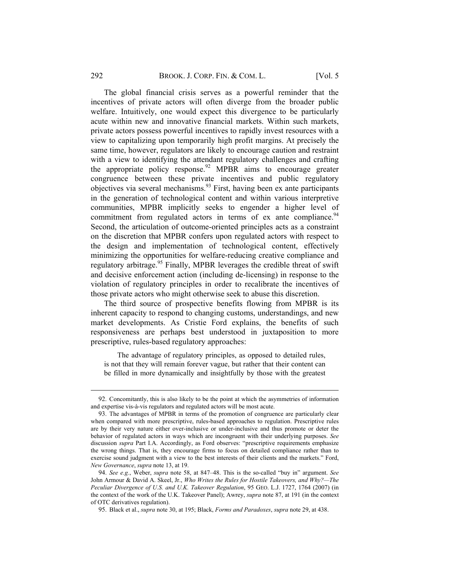#### 292 BROOK. J. CORP. FIN. & COM. L. [Vol. 5

The global financial crisis serves as a powerful reminder that the incentives of private actors will often diverge from the broader public welfare. Intuitively, one would expect this divergence to be particularly acute within new and innovative financial markets. Within such markets, private actors possess powerful incentives to rapidly invest resources with a view to capitalizing upon temporarily high profit margins. At precisely the same time, however, regulators are likely to encourage caution and restraint with a view to identifying the attendant regulatory challenges and crafting the appropriate policy response.<sup>92</sup> MPBR aims to encourage greater congruence between these private incentives and public regulatory objectives via several mechanisms.93 First, having been ex ante participants in the generation of technological content and within various interpretive communities, MPBR implicitly seeks to engender a higher level of commitment from regulated actors in terms of  $ex$  ante compliance.<sup>94</sup> Second, the articulation of outcome-oriented principles acts as a constraint on the discretion that MPBR confers upon regulated actors with respect to the design and implementation of technological content, effectively minimizing the opportunities for welfare-reducing creative compliance and regulatory arbitrage.<sup>95</sup> Finally, MPBR leverages the credible threat of swift and decisive enforcement action (including de-licensing) in response to the violation of regulatory principles in order to recalibrate the incentives of those private actors who might otherwise seek to abuse this discretion.

The third source of prospective benefits flowing from MPBR is its inherent capacity to respond to changing customs, understandings, and new market developments. As Cristie Ford explains, the benefits of such responsiveness are perhaps best understood in juxtaposition to more prescriptive, rules-based regulatory approaches:

The advantage of regulatory principles, as opposed to detailed rules, is not that they will remain forever vague, but rather that their content can be filled in more dynamically and insightfully by those with the greatest

<sup>92.</sup> Concomitantly, this is also likely to be the point at which the asymmetries of information and expertise vis-à-vis regulators and regulated actors will be most acute.

<sup>93.</sup> The advantages of MPBR in terms of the promotion of congruence are particularly clear when compared with more prescriptive, rules-based approaches to regulation. Prescriptive rules are by their very nature either over-inclusive or under-inclusive and thus promote or deter the behavior of regulated actors in ways which are incongruent with their underlying purposes. *See* discussion *supra* Part I.A. Accordingly, as Ford observes: "prescriptive requirements emphasize the wrong things. That is, they encourage firms to focus on detailed compliance rather than to exercise sound judgment with a view to the best interests of their clients and the markets." Ford, *New Governance*, *supra* note 13, at 19.

<sup>94.</sup> *See e.g.*, Weber, *supra* note 58, at 847–48. This is the so-called "buy in" argument. *See* John Armour & David A. Skeel, Jr., *Who Writes the Rules for Hostile Takeovers, and Why?—The Peculiar Divergence of U.S. and U.K. Takeover Regulation*, 95 GEO. L.J. 1727, 1764 (2007) (in the context of the work of the U.K. Takeover Panel); Awrey, *supra* note 87, at 191 (in the context of OTC derivatives regulation).

<sup>95.</sup> Black et al., *supra* note 30, at 195; Black, *Forms and Paradoxes*, *supra* note 29, at 438.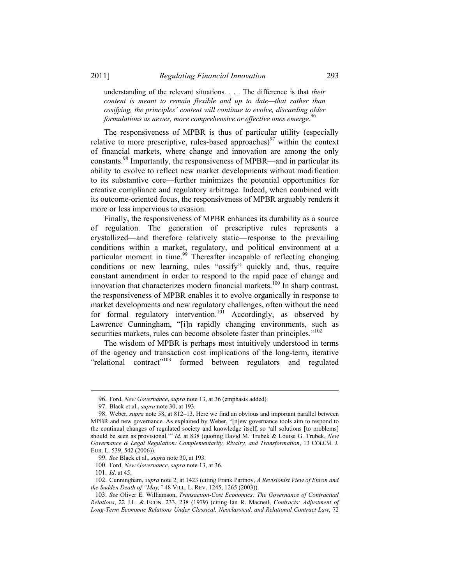understanding of the relevant situations. . . . The difference is that *their content is meant to remain flexible and up to date—that rather than ossifying, the principles' content will continue to evolve, discarding older formulations as newer, more comprehensive or effective ones emerge.*<sup>9</sup>

The responsiveness of MPBR is thus of particular utility (especially relative to more prescriptive, rules-based approaches)<sup>97</sup> within the context of financial markets, where change and innovation are among the only constants.98 Importantly, the responsiveness of MPBR—and in particular its ability to evolve to reflect new market developments without modification to its substantive core—further minimizes the potential opportunities for creative compliance and regulatory arbitrage. Indeed, when combined with its outcome-oriented focus, the responsiveness of MPBR arguably renders it more or less impervious to evasion.

Finally, the responsiveness of MPBR enhances its durability as a source of regulation. The generation of prescriptive rules represents a crystallized—and therefore relatively static—response to the prevailing conditions within a market, regulatory, and political environment at a particular moment in time.<sup>99</sup> Thereafter incapable of reflecting changing conditions or new learning, rules "ossify" quickly and, thus, require constant amendment in order to respond to the rapid pace of change and innovation that characterizes modern financial markets.<sup>100</sup> In sharp contrast, the responsiveness of MPBR enables it to evolve organically in response to market developments and new regulatory challenges, often without the need for formal regulatory intervention.<sup>101</sup> Accordingly, as observed by Lawrence Cunningham, "[i]n rapidly changing environments, such as securities markets, rules can become obsolete faster than principles."<sup>102</sup>

The wisdom of MPBR is perhaps most intuitively understood in terms of the agency and transaction cost implications of the long-term, iterative "relational contract"103 formed between regulators and regulated

<sup>96.</sup> Ford, *New Governance*, *supra* note 13, at 36 (emphasis added).

<sup>97.</sup> Black et al., *supra* note 30, at 193.

<sup>98.</sup> Weber, *supra* note 58, at 812–13. Here we find an obvious and important parallel between MPBR and new governance. As explained by Weber, "[n]ew governance tools aim to respond to the continual changes of regulated society and knowledge itself, so 'all solutions [to problems] should be seen as provisional.'" *Id*. at 838 (quoting David M. Trubek & Louise G. Trubek, *New Governance & Legal Regulation: Complementarity, Rivalry, and Transformation*, 13 COLUM. J. EUR. L. 539, 542 (2006)).

<sup>99.</sup> *See* Black et al., *supra* note 30, at 193.

<sup>100.</sup> Ford, *New Governance*, *supra* note 13, at 36.

<sup>101.</sup> *Id*. at 45.

<sup>102.</sup> Cunningham, *supra* note 2, at 1423 (citing Frank Partnoy, *A Revisionist View of Enron and the Sudden Death of "May,"* 48 VILL. L. REV. 1245, 1265 (2003)).

<sup>103.</sup> *See* Oliver E. Williamson, *Transaction-Cost Economics: The Governance of Contractual Relations*, 22 J.L. & ECON. 233, 238 (1979) (citing Ian R. Macneil, *Contracts: Adjustment of Long-Term Economic Relations Under Classical, Neoclassical, and Relational Contract Law*, 72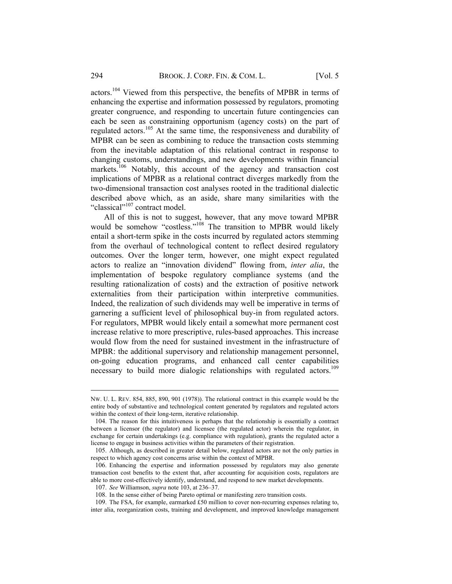actors.104 Viewed from this perspective, the benefits of MPBR in terms of enhancing the expertise and information possessed by regulators, promoting greater congruence, and responding to uncertain future contingencies can each be seen as constraining opportunism (agency costs) on the part of regulated actors.<sup>105</sup> At the same time, the responsiveness and durability of MPBR can be seen as combining to reduce the transaction costs stemming from the inevitable adaptation of this relational contract in response to changing customs, understandings, and new developments within financial markets.<sup>106</sup> Notably, this account of the agency and transaction cost implications of MPBR as a relational contract diverges markedly from the two-dimensional transaction cost analyses rooted in the traditional dialectic described above which, as an aside, share many similarities with the "classical"<sup>107</sup> contract model.

All of this is not to suggest, however, that any move toward MPBR would be somehow "costless."<sup>108</sup> The transition to MPBR would likely entail a short-term spike in the costs incurred by regulated actors stemming from the overhaul of technological content to reflect desired regulatory outcomes. Over the longer term, however, one might expect regulated actors to realize an "innovation dividend" flowing from, *inter alia*, the implementation of bespoke regulatory compliance systems (and the resulting rationalization of costs) and the extraction of positive network externalities from their participation within interpretive communities. Indeed, the realization of such dividends may well be imperative in terms of garnering a sufficient level of philosophical buy-in from regulated actors. For regulators, MPBR would likely entail a somewhat more permanent cost increase relative to more prescriptive, rules-based approaches. This increase would flow from the need for sustained investment in the infrastructure of MPBR: the additional supervisory and relationship management personnel, on-going education programs, and enhanced call center capabilities necessary to build more dialogic relationships with regulated actors.<sup>109</sup>

NW. U. L. REV. 854, 885, 890, 901 (1978)). The relational contract in this example would be the entire body of substantive and technological content generated by regulators and regulated actors within the context of their long-term, iterative relationship.

<sup>104.</sup> The reason for this intuitiveness is perhaps that the relationship is essentially a contract between a licensor (the regulator) and licensee (the regulated actor) wherein the regulator, in exchange for certain undertakings (e.g. compliance with regulation), grants the regulated actor a license to engage in business activities within the parameters of their registration.

<sup>105.</sup> Although, as described in greater detail below, regulated actors are not the only parties in respect to which agency cost concerns arise within the context of MPBR.

<sup>106.</sup> Enhancing the expertise and information possessed by regulators may also generate transaction cost benefits to the extent that, after accounting for acquisition costs, regulators are able to more cost-effectively identify, understand, and respond to new market developments.

<sup>107.</sup> *See* Williamson, *supra* note 103, at 236–37.

<sup>108.</sup> In the sense either of being Pareto optimal or manifesting zero transition costs.

<sup>109.</sup> The FSA, for example, earmarked £50 million to cover non-recurring expenses relating to, inter alia, reorganization costs, training and development, and improved knowledge management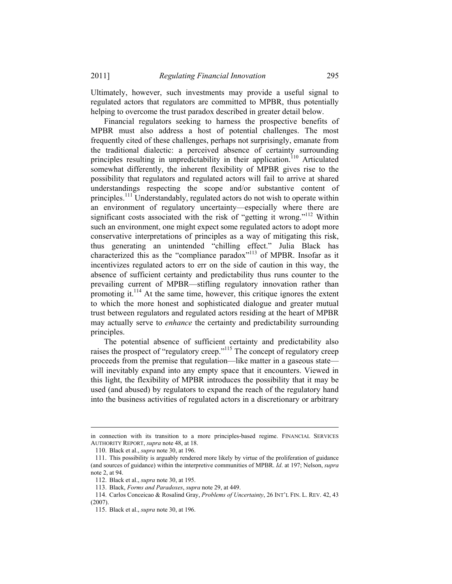2011] *Regulating Financial Innovation* 295

Ultimately, however, such investments may provide a useful signal to regulated actors that regulators are committed to MPBR, thus potentially helping to overcome the trust paradox described in greater detail below.

Financial regulators seeking to harness the prospective benefits of MPBR must also address a host of potential challenges. The most frequently cited of these challenges, perhaps not surprisingly, emanate from the traditional dialectic: a perceived absence of certainty surrounding principles resulting in unpredictability in their application.<sup>110</sup> Articulated somewhat differently, the inherent flexibility of MPBR gives rise to the possibility that regulators and regulated actors will fail to arrive at shared understandings respecting the scope and/or substantive content of principles.<sup>111</sup> Understandably, regulated actors do not wish to operate within an environment of regulatory uncertainty—especially where there are significant costs associated with the risk of "getting it wrong."<sup>112</sup> Within such an environment, one might expect some regulated actors to adopt more conservative interpretations of principles as a way of mitigating this risk, thus generating an unintended "chilling effect." Julia Black has characterized this as the "compliance paradox"<sup>113</sup> of MPBR. Insofar as it incentivizes regulated actors to err on the side of caution in this way, the absence of sufficient certainty and predictability thus runs counter to the prevailing current of MPBR—stifling regulatory innovation rather than promoting it.114 At the same time, however, this critique ignores the extent to which the more honest and sophisticated dialogue and greater mutual trust between regulators and regulated actors residing at the heart of MPBR may actually serve to *enhance* the certainty and predictability surrounding principles.

The potential absence of sufficient certainty and predictability also raises the prospect of "regulatory creep."<sup>115</sup> The concept of regulatory creep proceeds from the premise that regulation—like matter in a gaseous state will inevitably expand into any empty space that it encounters. Viewed in this light, the flexibility of MPBR introduces the possibility that it may be used (and abused) by regulators to expand the reach of the regulatory hand into the business activities of regulated actors in a discretionary or arbitrary

in connection with its transition to a more principles-based regime. FINANCIAL SERVICES AUTHORITY REPORT, *supra* note 48, at 18.

<sup>110.</sup> Black et al., *supra* note 30, at 196.

<sup>111.</sup> This possibility is arguably rendered more likely by virtue of the proliferation of guidance (and sources of guidance) within the interpretive communities of MPBR. *Id*. at 197; Nelson, *supra* note 2, at 94.

<sup>112.</sup> Black et al., *supra* note 30, at 195.

<sup>113.</sup> Black, *Forms and Paradoxes*, *supra* note 29, at 449.

<sup>114.</sup> Carlos Conceicao & Rosalind Gray, *Problems of Uncertainty*, 26 INT'L FIN. L. REV. 42, 43 (2007).

<sup>115.</sup> Black et al., *supra* note 30, at 196.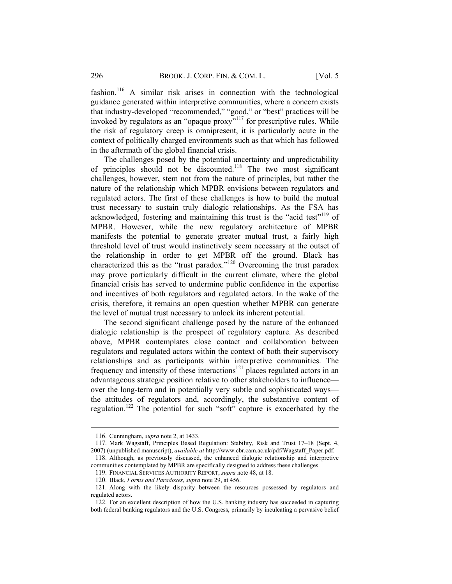fashion.116 A similar risk arises in connection with the technological guidance generated within interpretive communities, where a concern exists that industry-developed "recommended," "good," or "best" practices will be invoked by regulators as an "opaque proxy"<sup>117</sup> for prescriptive rules. While the risk of regulatory creep is omnipresent, it is particularly acute in the context of politically charged environments such as that which has followed in the aftermath of the global financial crisis.

The challenges posed by the potential uncertainty and unpredictability of principles should not be discounted.118 The two most significant challenges, however, stem not from the nature of principles, but rather the nature of the relationship which MPBR envisions between regulators and regulated actors. The first of these challenges is how to build the mutual trust necessary to sustain truly dialogic relationships. As the FSA has acknowledged, fostering and maintaining this trust is the "acid test"<sup>119</sup> of MPBR. However, while the new regulatory architecture of MPBR manifests the potential to generate greater mutual trust, a fairly high threshold level of trust would instinctively seem necessary at the outset of the relationship in order to get MPBR off the ground. Black has characterized this as the "trust paradox."120 Overcoming the trust paradox may prove particularly difficult in the current climate, where the global financial crisis has served to undermine public confidence in the expertise and incentives of both regulators and regulated actors. In the wake of the crisis, therefore, it remains an open question whether MPBR can generate the level of mutual trust necessary to unlock its inherent potential.

The second significant challenge posed by the nature of the enhanced dialogic relationship is the prospect of regulatory capture. As described above, MPBR contemplates close contact and collaboration between regulators and regulated actors within the context of both their supervisory relationships and as participants within interpretive communities. The frequency and intensity of these interactions<sup>121</sup> places regulated actors in an advantageous strategic position relative to other stakeholders to influence over the long-term and in potentially very subtle and sophisticated ways the attitudes of regulators and, accordingly, the substantive content of regulation.122 The potential for such "soft" capture is exacerbated by the

<sup>116.</sup> Cunningham, *supra* note 2, at 1433.

<sup>117.</sup> Mark Wagstaff, Principles Based Regulation: Stability, Risk and Trust 17–18 (Sept. 4, 2007) (unpublished manuscript), *available at* http://www.cbr.cam.ac.uk/pdf/Wagstaff\_Paper.pdf.

<sup>118.</sup> Although, as previously discussed, the enhanced dialogic relationship and interpretive communities contemplated by MPBR are specifically designed to address these challenges.

<sup>119.</sup> FINANCIAL SERVICES AUTHORITY REPORT, *supra* note 48, at 18.

<sup>120.</sup> Black, *Forms and Paradoxes*, *supra* note 29, at 456.

<sup>121.</sup> Along with the likely disparity between the resources possessed by regulators and regulated actors.

<sup>122.</sup> For an excellent description of how the U.S. banking industry has succeeded in capturing both federal banking regulators and the U.S. Congress, primarily by inculcating a pervasive belief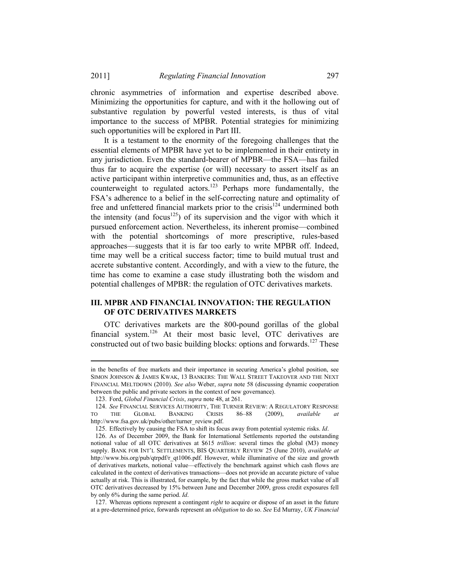2011] *Regulating Financial Innovation* 297

chronic asymmetries of information and expertise described above. Minimizing the opportunities for capture, and with it the hollowing out of substantive regulation by powerful vested interests, is thus of vital importance to the success of MPBR. Potential strategies for minimizing such opportunities will be explored in Part III.

It is a testament to the enormity of the foregoing challenges that the essential elements of MPBR have yet to be implemented in their entirety in any jurisdiction. Even the standard-bearer of MPBR—the FSA—has failed thus far to acquire the expertise (or will) necessary to assert itself as an active participant within interpretive communities and, thus, as an effective counterweight to regulated  $\arccos$ <sup>123</sup> Perhaps more fundamentally, the FSA's adherence to a belief in the self-correcting nature and optimality of free and unfettered financial markets prior to the crisis<sup>124</sup> undermined both the intensity (and focus<sup>125</sup>) of its supervision and the vigor with which it pursued enforcement action. Nevertheless, its inherent promise—combined with the potential shortcomings of more prescriptive, rules-based approaches—suggests that it is far too early to write MPBR off. Indeed, time may well be a critical success factor; time to build mutual trust and accrete substantive content. Accordingly, and with a view to the future, the time has come to examine a case study illustrating both the wisdom and potential challenges of MPBR: the regulation of OTC derivatives markets.

# **III. MPBR AND FINANCIAL INNOVATION: THE REGULATION OF OTC DERIVATIVES MARKETS**

OTC derivatives markets are the 800-pound gorillas of the global financial system.<sup>126</sup> At their most basic level, OTC derivatives are constructed out of two basic building blocks: options and forwards.<sup>127</sup> These

in the benefits of free markets and their importance in securing America's global position, see SIMON JOHNSON & JAMES KWAK, 13 BANKERS: THE WALL STREET TAKEOVER AND THE NEXT FINANCIAL MELTDOWN (2010). *See also* Weber, *supra* note 58 (discussing dynamic cooperation between the public and private sectors in the context of new governance).

<sup>123.</sup> Ford, *Global Financial Crisis*, *supra* note 48, at 261.

<sup>124.</sup> *See* FINANCIAL SERVICES AUTHORITY, THE TURNER REVIEW: A REGULATORY RESPONSE TO THE GLOBAL BANKING CRISIS 86–88 (2009), *available at* http://www.fsa.gov.uk/pubs/other/turner\_review.pdf.

<sup>125.</sup> Effectively by causing the FSA to shift its focus away from potential systemic risks. *Id*.

<sup>126.</sup> As of December 2009, the Bank for International Settlements reported the outstanding notional value of all OTC derivatives at \$615 *trillion*: several times the global (M3) money supply. BANK FOR INT'L SETTLEMENTS, BIS QUARTERLY REVIEW 25 (June 2010), *available at* http://www.bis.org/pub/qtrpdf/r\_qt1006.pdf. However, while illuminative of the size and growth of derivatives markets, notional value—effectively the benchmark against which cash flows are calculated in the context of derivatives transactions—does not provide an accurate picture of value actually at risk. This is illustrated, for example, by the fact that while the gross market value of all OTC derivatives decreased by 15% between June and December 2009, gross credit exposures fell by only 6% during the same period. *Id*.

<sup>127.</sup> Whereas options represent a contingent *right* to acquire or dispose of an asset in the future at a pre-determined price, forwards represent an *obligation* to do so. *See* Ed Murray, *UK Financial*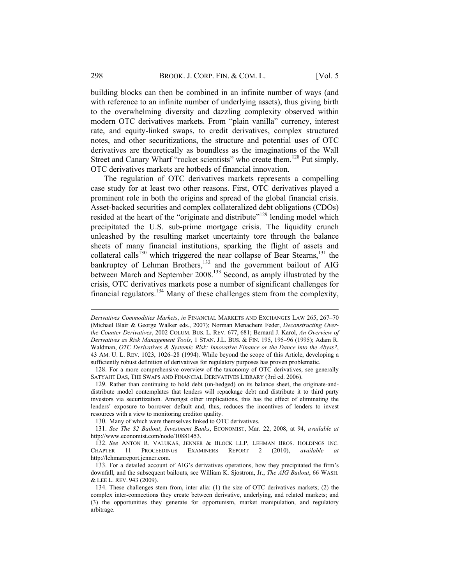building blocks can then be combined in an infinite number of ways (and with reference to an infinite number of underlying assets), thus giving birth to the overwhelming diversity and dazzling complexity observed within modern OTC derivatives markets. From "plain vanilla" currency, interest rate, and equity-linked swaps, to credit derivatives, complex structured notes, and other securitizations, the structure and potential uses of OTC derivatives are theoretically as boundless as the imaginations of the Wall Street and Canary Wharf "rocket scientists" who create them.<sup>128</sup> Put simply, OTC derivatives markets are hotbeds of financial innovation.

The regulation of OTC derivatives markets represents a compelling case study for at least two other reasons. First, OTC derivatives played a prominent role in both the origins and spread of the global financial crisis. Asset-backed securities and complex collateralized debt obligations (CDOs) resided at the heart of the "originate and distribute"<sup>129</sup> lending model which precipitated the U.S. sub-prime mortgage crisis. The liquidity crunch unleashed by the resulting market uncertainty tore through the balance sheets of many financial institutions, sparking the flight of assets and collateral calls<sup>130</sup> which triggered the near collapse of Bear Stearns,<sup>131</sup> the bankruptcy of Lehman Brothers,<sup>132</sup> and the government bailout of AIG between March and September 2008.<sup>133</sup> Second, as amply illustrated by the crisis, OTC derivatives markets pose a number of significant challenges for financial regulators.<sup>134</sup> Many of these challenges stem from the complexity,

130. Many of which were themselves linked to OTC derivatives.

131. *See The \$2 Bailout*; *Investment Banks*, ECONOMIST, Mar. 22, 2008, at 94, *available at* http://www.economist.com/node/10881453.

*Derivatives Commodities Markets*, *in* FINANCIAL MARKETS AND EXCHANGES LAW 265, 267–70 (Michael Blair & George Walker eds., 2007); Norman Menachem Feder, *Deconstructing Overthe-Counter Derivatives*, 2002 COLUM. BUS. L. REV. 677, 681; Bernard J. Karol, *An Overview of Derivatives as Risk Management Tools*, 1 STAN. J.L. BUS. & FIN. 195, 195–96 (1995); Adam R. Waldman, *OTC Derivatives & Systemic Risk: Innovative Finance or the Dance into the Abyss?*, 43 AM. U. L. REV. 1023, 1026–28 (1994). While beyond the scope of this Article, developing a sufficiently robust definition of derivatives for regulatory purposes has proven problematic.

<sup>128.</sup> For a more comprehensive overview of the taxonomy of OTC derivatives, see generally SATYAJIT DAS, THE SWAPS AND FINANCIAL DERIVATIVES LIBRARY (3rd ed. 2006).

<sup>129.</sup> Rather than continuing to hold debt (un-hedged) on its balance sheet, the originate-anddistribute model contemplates that lenders will repackage debt and distribute it to third party investors via securitization. Amongst other implications, this has the effect of eliminating the lenders' exposure to borrower default and, thus, reduces the incentives of lenders to invest resources with a view to monitoring creditor quality.

<sup>132.</sup> *See* ANTON R. VALUKAS, JENNER & BLOCK LLP, LEHMAN BROS. HOLDINGS INC. CHAPTER 11 PROCEEDINGS EXAMINERS REPORT 2 (2010), *available at* http://lehmanreport.jenner.com.

<sup>133.</sup> For a detailed account of AIG's derivatives operations, how they precipitated the firm's downfall, and the subsequent bailouts, see William K. Sjostrom, Jr., *The AIG Bailout*, 66 WASH. & LEE L. REV. 943 (2009).

<sup>134.</sup> These challenges stem from, inter alia: (1) the size of OTC derivatives markets; (2) the complex inter-connections they create between derivative, underlying, and related markets; and (3) the opportunities they generate for opportunism, market manipulation, and regulatory arbitrage.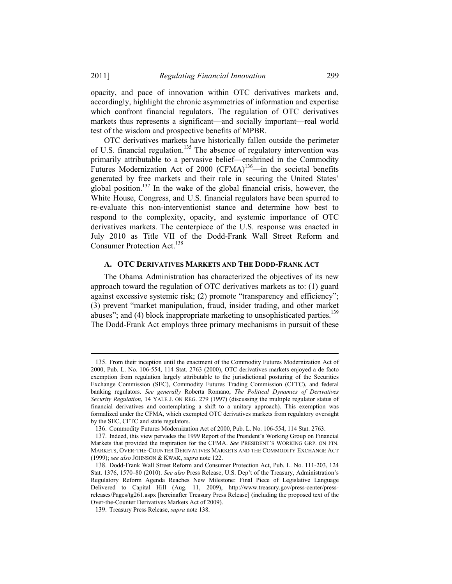opacity, and pace of innovation within OTC derivatives markets and, accordingly, highlight the chronic asymmetries of information and expertise which confront financial regulators. The regulation of OTC derivatives markets thus represents a significant—and socially important—real world test of the wisdom and prospective benefits of MPBR.

OTC derivatives markets have historically fallen outside the perimeter of U.S. financial regulation.135 The absence of regulatory intervention was primarily attributable to a pervasive belief—enshrined in the Commodity Futures Modernization Act of 2000 (CFMA)<sup>136</sup>—in the societal benefits generated by free markets and their role in securing the United States' global position.<sup>137</sup> In the wake of the global financial crisis, however, the White House, Congress, and U.S. financial regulators have been spurred to re-evaluate this non-interventionist stance and determine how best to respond to the complexity, opacity, and systemic importance of OTC derivatives markets. The centerpiece of the U.S. response was enacted in July 2010 as Title VII of the Dodd-Frank Wall Street Reform and Consumer Protection Act.<sup>138</sup>

#### **A. OTC DERIVATIVES MARKETS AND THE DODD-FRANK ACT**

The Obama Administration has characterized the objectives of its new approach toward the regulation of OTC derivatives markets as to: (1) guard against excessive systemic risk; (2) promote "transparency and efficiency"; (3) prevent "market manipulation, fraud, insider trading, and other market abuses"; and (4) block inappropriate marketing to unsophisticated parties.<sup>139</sup> The Dodd-Frank Act employs three primary mechanisms in pursuit of these

<sup>135.</sup> From their inception until the enactment of the Commodity Futures Modernization Act of 2000, Pub. L. No. 106-554, 114 Stat. 2763 (2000), OTC derivatives markets enjoyed a de facto exemption from regulation largely attributable to the jurisdictional posturing of the Securities Exchange Commission (SEC), Commodity Futures Trading Commission (CFTC), and federal banking regulators. *See generally* Roberta Romano, *The Political Dynamics of Derivatives Security Regulation*, 14 YALE J. ON REG. 279 (1997) (discussing the multiple regulator status of financial derivatives and contemplating a shift to a unitary approach). This exemption was formalized under the CFMA, which exempted OTC derivatives markets from regulatory oversight by the SEC, CFTC and state regulators.

<sup>136.</sup> Commodity Futures Modernization Act of 2000, Pub. L. No. 106-554, 114 Stat. 2763.

<sup>137.</sup> Indeed, this view pervades the 1999 Report of the President's Working Group on Financial Markets that provided the inspiration for the CFMA. *See* PRESIDENT'S WORKING GRP. ON FIN. MARKETS, OVER-THE-COUNTER DERIVATIVES MARKETS AND THE COMMODITY EXCHANGE ACT (1999); *see also* JOHNSON & KWAK, *supra* note 122.

<sup>138.</sup> Dodd-Frank Wall Street Reform and Consumer Protection Act, Pub. L. No. 111-203, 124 Stat. 1376, 1570–80 (2010). *See also* Press Release, U.S. Dep't of the Treasury, Administration's Regulatory Reform Agenda Reaches New Milestone: Final Piece of Legislative Language Delivered to Capital Hill (Aug. 11, 2009), http://www.treasury.gov/press-center/pressreleases/Pages/tg261.aspx [hereinafter Treasury Press Release] (including the proposed text of the Over-the-Counter Derivatives Markets Act of 2009).

<sup>139.</sup> Treasury Press Release, *supra* note 138.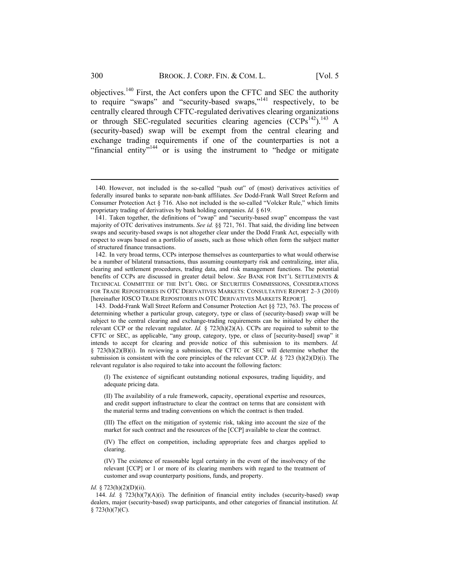objectives.140 First, the Act confers upon the CFTC and SEC the authority to require "swaps" and "security-based swaps,"141 respectively, to be centrally cleared through CFTC-regulated derivatives clearing organizations or through SEC-regulated securities clearing agencies (CCPs<sup>142</sup>).<sup>143</sup> A (security-based) swap will be exempt from the central clearing and exchange trading requirements if one of the counterparties is not a "financial entity"<sup>144</sup> or is using the instrument to "hedge or mitigate"

(I) The existence of significant outstanding notional exposures, trading liquidity, and adequate pricing data.

(II) The availability of a rule framework, capacity, operational expertise and resources, and credit support infrastructure to clear the contract on terms that are consistent with the material terms and trading conventions on which the contract is then traded.

(III) The effect on the mitigation of systemic risk, taking into account the size of the market for such contract and the resources of the [CCP] available to clear the contract.

(IV) The effect on competition, including appropriate fees and charges applied to clearing.

(IV) The existence of reasonable legal certainty in the event of the insolvency of the relevant [CCP] or 1 or more of its clearing members with regard to the treatment of customer and swap counterparty positions, funds, and property.

#### *Id.* § 723(h)(2)(D)(ii).

144. *Id.* § 723(h)(7)(A)(i). The definition of financial entity includes (security-based) swap dealers, major (security-based) swap participants, and other categories of financial institution. *Id.* § 723(h)(7)(C).

<sup>140.</sup> However, not included is the so-called "push out" of (most) derivatives activities of federally insured banks to separate non-bank affiliates. *See* Dodd-Frank Wall Street Reform and Consumer Protection Act § 716. Also not included is the so-called "Volcker Rule," which limits proprietary trading of derivatives by bank holding companies. *Id.* § 619.

<sup>141.</sup> Taken together, the definitions of "swap" and "security-based swap" encompass the vast majority of OTC derivatives instruments. *See id.* §§ 721, 761. That said, the dividing line between swaps and security-based swaps is not altogether clear under the Dodd Frank Act, especially with respect to swaps based on a portfolio of assets, such as those which often form the subject matter of structured finance transactions.

<sup>142.</sup> In very broad terms, CCPs interpose themselves as counterparties to what would otherwise be a number of bilateral transactions, thus assuming counterparty risk and centralizing, inter alia, clearing and settlement procedures, trading data, and risk management functions. The potential benefits of CCPs are discussed in greater detail below. *See* BANK FOR INT'L SETTLEMENTS & TECHNICAL COMMITTEE OF THE INT'L ORG. OF SECURITIES COMMISSIONS, CONSIDERATIONS FOR TRADE REPOSITORIES IN OTC DERIVATIVES MARKETS: CONSULTATIVE REPORT 2–3 (2010) [hereinafter IOSCO TRADE REPOSITORIES IN OTC DERIVATIVES MARKETS REPORT].

<sup>143.</sup> Dodd-Frank Wall Street Reform and Consumer Protection Act §§ 723, 763. The process of determining whether a particular group, category, type or class of (security-based) swap will be subject to the central clearing and exchange-trading requirements can be initiated by either the relevant CCP or the relevant regulator. *Id.*  $\S$  723(h)(2)(A). CCPs are required to submit to the CFTC or SEC, as applicable, "any group, category, type, or class of [security-based] swap" it intends to accept for clearing and provide notice of this submission to its members. *Id.* § 723(h)(2)(B)(i). In reviewing a submission, the CFTC or SEC will determine whether the submission is consistent with the core principles of the relevant CCP. *Id.* § 723 (h)(2)(D)(i). The relevant regulator is also required to take into account the following factors: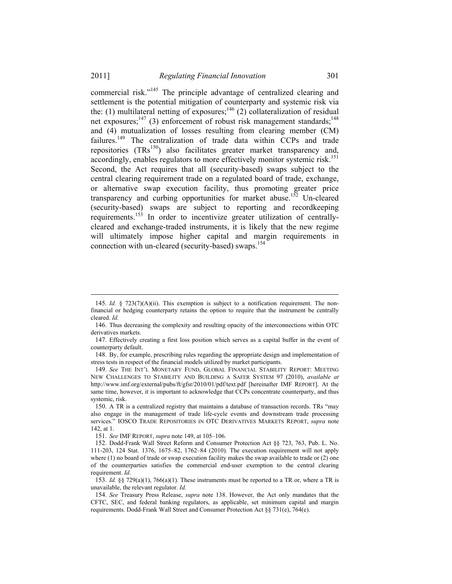#### 2011] *Regulating Financial Innovation* 301

commercial risk."145 The principle advantage of centralized clearing and settlement is the potential mitigation of counterparty and systemic risk via the: (1) multilateral netting of exposures;<sup>146</sup> (2) collateralization of residual net exposures; $147$  (3) enforcement of robust risk management standards; $148$ and (4) mutualization of losses resulting from clearing member (CM) failures.<sup>149</sup> The centralization of trade data within CCPs and trade repositories  $(TRs^{150})$  also facilitates greater market transparency and, accordingly, enables regulators to more effectively monitor systemic risk.<sup>151</sup> Second, the Act requires that all (security-based) swaps subject to the central clearing requirement trade on a regulated board of trade, exchange, or alternative swap execution facility, thus promoting greater price transparency and curbing opportunities for market abuse.<sup>152</sup> Un-cleared (security-based) swaps are subject to reporting and recordkeeping requirements.153 In order to incentivize greater utilization of centrallycleared and exchange-traded instruments, it is likely that the new regime will ultimately impose higher capital and margin requirements in connection with un-cleared (security-based) swaps.<sup>154</sup>

<sup>145.</sup> *Id.* § 723(7)(A)(ii). This exemption is subject to a notification requirement. The nonfinancial or hedging counterparty retains the option to require that the instrument be centrally cleared. *Id.* 

<sup>146.</sup> Thus decreasing the complexity and resulting opacity of the interconnections within OTC derivatives markets.

<sup>147.</sup> Effectively creating a first loss position which serves as a capital buffer in the event of counterparty default.

<sup>148.</sup> By, for example, prescribing rules regarding the appropriate design and implementation of stress tests in respect of the financial models utilized by market participants.

<sup>149.</sup> *See* THE INT'L MONETARY FUND, GLOBAL FINANCIAL STABILITY REPORT: MEETING NEW CHALLENGES TO STABILITY AND BUILDING A SAFER SYSTEM 97 (2010), *available at* http://www.imf.org/external/pubs/ft/gfsr/2010/01/pdf/text.pdf [hereinafter IMF REPORT]. At the same time, however, it is important to acknowledge that CCPs concentrate counterparty, and thus systemic, risk.

<sup>150.</sup> A TR is a centralized registry that maintains a database of transaction records. TRs "may also engage in the management of trade life-cycle events and downstream trade processing services." IOSCO TRADE REPOSITORIES IN OTC DERIVATIVES MARKETS REPORT, *supra* note 142, at 1.

<sup>151.</sup> *See* IMF REPORT, *supra* note 149, at 105–106.

<sup>152.</sup> Dodd-Frank Wall Street Reform and Consumer Protection Act §§ 723, 763, Pub. L. No. 111-203, 124 Stat. 1376, 1675–82, 1762–84 (2010). The execution requirement will not apply where (1) no board of trade or swap execution facility makes the swap available to trade or (2) one of the counterparties satisfies the commercial end-user exemption to the central clearing requirement. *Id*.

<sup>153.</sup> *Id.* §§ 729(a)(1), 766(a)(1). These instruments must be reported to a TR or, where a TR is unavailable, the relevant regulator. *Id.*

<sup>154.</sup> *See* Treasury Press Release, *supra* note 138. However, the Act only mandates that the CFTC, SEC, and federal banking regulators, as applicable, set minimum capital and margin requirements. Dodd-Frank Wall Street and Consumer Protection Act §§ 731(e), 764(e).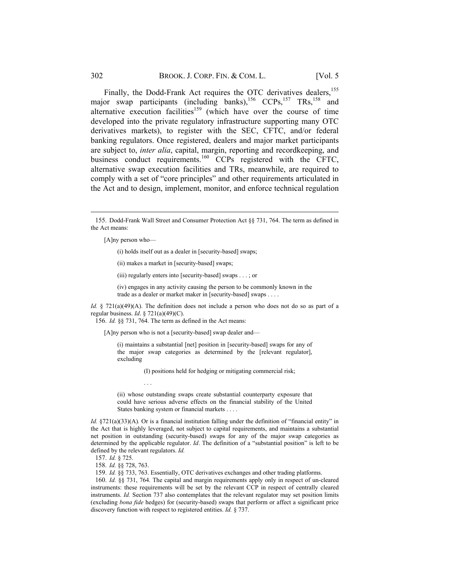Finally, the Dodd-Frank Act requires the OTC derivatives dealers,<sup>155</sup> major swap participants (including banks),  $^{156}$  CCPs,  $^{157}$  TRs,  $^{158}$  and alternative execution facilities<sup>159</sup> (which have over the course of time developed into the private regulatory infrastructure supporting many OTC derivatives markets), to register with the SEC, CFTC, and/or federal banking regulators. Once registered, dealers and major market participants are subject to, *inter alia*, capital, margin, reporting and recordkeeping, and business conduct requirements.<sup>160</sup> CCPs registered with the CFTC, alternative swap execution facilities and TRs, meanwhile, are required to comply with a set of "core principles" and other requirements articulated in the Act and to design, implement, monitor, and enforce technical regulation

[A]ny person who—

(i) holds itself out as a dealer in [security-based] swaps;

(ii) makes a market in [security-based] swaps;

(iii) regularly enters into [security-based] swaps . . . ; or

(iv) engages in any activity causing the person to be commonly known in the trade as a dealer or market maker in [security-based] swaps . . . .

*Id.* § 721(a)(49)(A). The definition does not include a person who does not do so as part of a regular business. *Id*. § 721(a)(49)(C).

156. *Id.* §§ 731, 764. The term as defined in the Act means:

[A]ny person who is not a [security-based] swap dealer and—

(i) maintains a substantial [net] position in [security-based] swaps for any of the major swap categories as determined by the [relevant regulator], excluding

(I) positions held for hedging or mitigating commercial risk;

(ii) whose outstanding swaps create substantial counterparty exposure that could have serious adverse effects on the financial stability of the United States banking system or financial markets . . . .

*Id.*  $§721(a)(33)(A)$ *.* Or is a financial institution falling under the definition of "financial entity" in the Act that is highly leveraged, not subject to capital requirements, and maintains a substantial net position in outstanding (security-based) swaps for any of the major swap categories as determined by the applicable regulator. *Id*. The definition of a "substantial position" is left to be defined by the relevant regulators. *Id.* 

157. *Id.* § 725.

158. *Id.* §§ 728, 763.

. . .

159. *Id.* §§ 733, 763. Essentially, OTC derivatives exchanges and other trading platforms.

160. *Id.* §§ 731, 764. The capital and margin requirements apply only in respect of un-cleared instruments: these requirements will be set by the relevant CCP in respect of centrally cleared instruments. *Id.* Section 737 also contemplates that the relevant regulator may set position limits (excluding *bona fide* hedges) for (security-based) swaps that perform or affect a significant price discovery function with respect to registered entities. *Id.* § 737.

<sup>155.</sup> Dodd-Frank Wall Street and Consumer Protection Act §§ 731, 764. The term as defined in the Act means: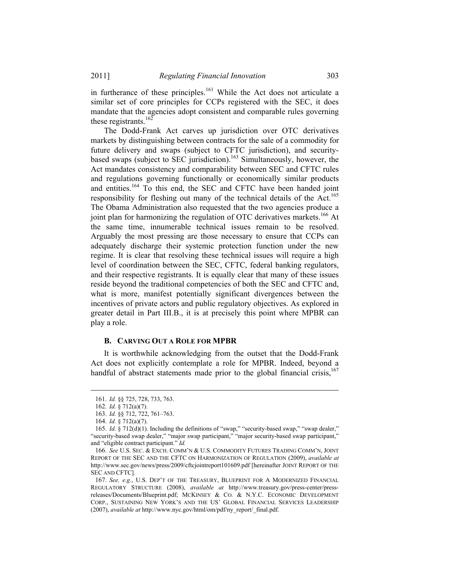in furtherance of these principles.<sup>161</sup> While the Act does not articulate a similar set of core principles for CCPs registered with the SEC, it does mandate that the agencies adopt consistent and comparable rules governing these registrants. $162$ 

The Dodd-Frank Act carves up jurisdiction over OTC derivatives markets by distinguishing between contracts for the sale of a commodity for future delivery and swaps (subject to CFTC jurisdiction), and securitybased swaps (subject to  $\overline{\text{SEC}}$  jurisdiction).<sup>163</sup> Simultaneously, however, the Act mandates consistency and comparability between SEC and CFTC rules and regulations governing functionally or economically similar products and entities.<sup>164</sup> To this end, the SEC and CFTC have been handed joint responsibility for fleshing out many of the technical details of the Act.<sup>165</sup> The Obama Administration also requested that the two agencies produce a joint plan for harmonizing the regulation of OTC derivatives markets.<sup>166</sup> At the same time, innumerable technical issues remain to be resolved. Arguably the most pressing are those necessary to ensure that CCPs can adequately discharge their systemic protection function under the new regime. It is clear that resolving these technical issues will require a high level of coordination between the SEC, CFTC, federal banking regulators, and their respective registrants. It is equally clear that many of these issues reside beyond the traditional competencies of both the SEC and CFTC and, what is more, manifest potentially significant divergences between the incentives of private actors and public regulatory objectives. As explored in greater detail in Part III.B., it is at precisely this point where MPBR can play a role.

#### **B. CARVING OUT A ROLE FOR MPBR**

It is worthwhile acknowledging from the outset that the Dodd-Frank Act does not explicitly contemplate a role for MPBR. Indeed, beyond a handful of abstract statements made prior to the global financial crisis, $167$ 

<sup>161.</sup> *Id.* §§ 725, 728, 733, 763.

<sup>162.</sup> *Id.* § 712(a)(7).

<sup>163.</sup> *Id.* §§ 712, 722, 761–763.

<sup>164.</sup> *Id.* § 712(a)(7).

<sup>165.</sup> *Id.* § 712(d)(1). Including the definitions of "swap," "security-based swap," "swap dealer," "security-based swap dealer," "major swap participant," "major security-based swap participant," and "eligible contract participant." *Id.*

<sup>166.</sup> *See* U.S. SEC. & EXCH. COMM'N & U.S. COMMODITY FUTURES TRADING COMM'N, JOINT REPORT OF THE SEC AND THE CFTC ON HARMONIZATION OF REGULATION (2009), *available at* http://www.sec.gov/news/press/2009/cftcjointreport101609.pdf [hereinafter JOINT REPORT OF THE SEC AND CFTC].

<sup>167.</sup> *See, e.g.*, U.S. DEP'T OF THE TREASURY, BLUEPRINT FOR A MODERNIZED FINANCIAL REGULATORY STRUCTURE (2008), *available at* http://www.treasury.gov/press-center/pressreleases/Documents/Blueprint.pdf; MCKINSEY & CO*.* & N.Y.C. ECONOMIC DEVELOPMENT CORP., SUSTAINING NEW YORK'S AND THE US' GLOBAL FINANCIAL SERVICES LEADERSHIP (2007), *available at* http://www.nyc.gov/html/om/pdf/ny\_report/\_final.pdf.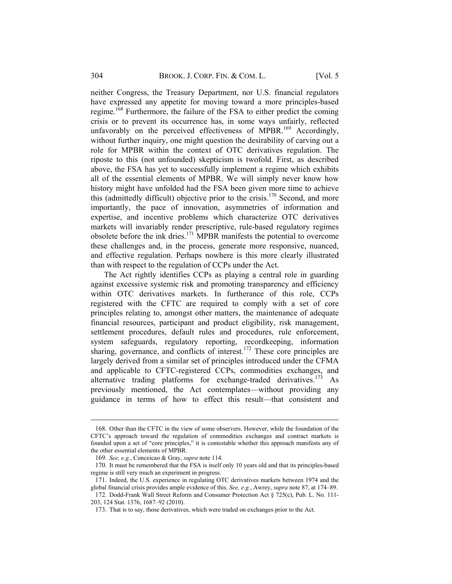neither Congress, the Treasury Department, nor U.S. financial regulators have expressed any appetite for moving toward a more principles-based regime.<sup>168</sup> Furthermore, the failure of the FSA to either predict the coming crisis or to prevent its occurrence has, in some ways unfairly, reflected unfavorably on the perceived effectiveness of MPBR.<sup>169</sup> Accordingly, without further inquiry, one might question the desirability of carving out a role for MPBR within the context of OTC derivatives regulation. The riposte to this (not unfounded) skepticism is twofold. First, as described above, the FSA has yet to successfully implement a regime which exhibits all of the essential elements of MPBR. We will simply never know how history might have unfolded had the FSA been given more time to achieve this (admittedly difficult) objective prior to the crisis.<sup>170</sup> Second, and more importantly, the pace of innovation, asymmetries of information and expertise, and incentive problems which characterize OTC derivatives markets will invariably render prescriptive, rule-based regulatory regimes obsolete before the ink dries.171 MPBR manifests the potential to overcome these challenges and, in the process, generate more responsive, nuanced, and effective regulation. Perhaps nowhere is this more clearly illustrated than with respect to the regulation of CCPs under the Act.

The Act rightly identifies CCPs as playing a central role in guarding against excessive systemic risk and promoting transparency and efficiency within OTC derivatives markets. In furtherance of this role, CCPs registered with the CFTC are required to comply with a set of core principles relating to, amongst other matters, the maintenance of adequate financial resources, participant and product eligibility, risk management, settlement procedures, default rules and procedures, rule enforcement, system safeguards, regulatory reporting, recordkeeping, information sharing, governance, and conflicts of interest.<sup>172</sup> These core principles are largely derived from a similar set of principles introduced under the CFMA and applicable to CFTC-registered CCPs, commodities exchanges, and alternative trading platforms for exchange-traded derivatives.<sup>173</sup> As previously mentioned, the Act contemplates—without providing any guidance in terms of how to effect this result—that consistent and

<sup>168.</sup> Other than the CFTC in the view of some observers. However, while the foundation of the CFTC's approach toward the regulation of commodities exchanges and contract markets is founded upon a set of "core principles," it is contestable whether this approach manifests any of the other essential elements of MPBR.

<sup>169.</sup> *See, e.g.*, Conceicao & Gray, *supra* note 114.

<sup>170.</sup> It must be remembered that the FSA is itself only 10 years old and that its principles-based regime is still very much an experiment in progress.

<sup>171.</sup> Indeed, the U.S. experience in regulating OTC derivatives markets between 1974 and the global financial crisis provides ample evidence of this. *See, e.g.*, Awrey, *supra* note 87, at 174–89.

<sup>172.</sup> Dodd-Frank Wall Street Reform and Consumer Protection Act § 725(c), Pub. L. No. 111- 203, 124 Stat. 1376, 1687–92 (2010).

<sup>173.</sup> That is to say, those derivatives, which were traded on exchanges prior to the Act.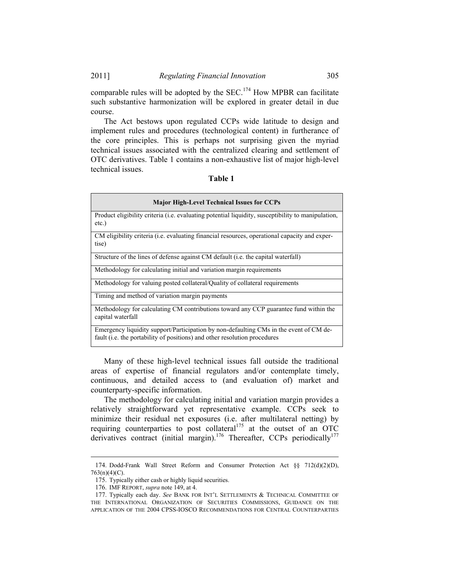#### 2011] *Regulating Financial Innovation* 305

comparable rules will be adopted by the SEC.<sup>174</sup> How MPBR can facilitate such substantive harmonization will be explored in greater detail in due course.

The Act bestows upon regulated CCPs wide latitude to design and implement rules and procedures (technological content) in furtherance of the core principles. This is perhaps not surprising given the myriad technical issues associated with the centralized clearing and settlement of OTC derivatives. Table 1 contains a non-exhaustive list of major high-level technical issues.

#### **Table 1**

| <b>Major High-Level Technical Issues for CCPs</b>                                                                                                                   |  |  |
|---------------------------------------------------------------------------------------------------------------------------------------------------------------------|--|--|
| Product eligibility criteria ( <i>i.e.</i> evaluating potential liquidity, susceptibility to manipulation,<br>$etc.$ )                                              |  |  |
| CM eligibility criteria (i.e. evaluating financial resources, operational capacity and exper-<br>tise)                                                              |  |  |
| Structure of the lines of defense against CM default (i.e. the capital waterfall)                                                                                   |  |  |
| Methodology for calculating initial and variation margin requirements                                                                                               |  |  |
| Methodology for valuing posted collateral/Quality of collateral requirements                                                                                        |  |  |
| Timing and method of variation margin payments                                                                                                                      |  |  |
| Methodology for calculating CM contributions toward any CCP guarantee fund within the<br>capital waterfall                                                          |  |  |
| Emergency liquidity support/Participation by non-defaulting CMs in the event of CM de-<br>fault (i.e. the portability of positions) and other resolution procedures |  |  |

Many of these high-level technical issues fall outside the traditional areas of expertise of financial regulators and/or contemplate timely, continuous, and detailed access to (and evaluation of) market and counterparty-specific information.

The methodology for calculating initial and variation margin provides a relatively straightforward yet representative example. CCPs seek to minimize their residual net exposures (i.e. after multilateral netting) by requiring counterparties to post collateral<sup>175</sup> at the outset of an OTC derivatives contract (initial margin).<sup>176</sup> Thereafter, CCPs periodically<sup>177</sup>

<sup>174.</sup> Dodd-Frank Wall Street Reform and Consumer Protection Act §§ 712(d)(2)(D), 763(n)(4)(C).

<sup>175.</sup> Typically either cash or highly liquid securities.

<sup>176.</sup> IMF REPORT, *supra* note 149, at 4.

<sup>177.</sup> Typically each day. *See* BANK FOR INT'L SETTLEMENTS & TECHNICAL COMMITTEE OF THE INTERNATIONAL ORGANIZATION OF SECURITIES COMMISSIONS, GUIDANCE ON THE APPLICATION OF THE 2004 CPSS-IOSCO RECOMMENDATIONS FOR CENTRAL COUNTERPARTIES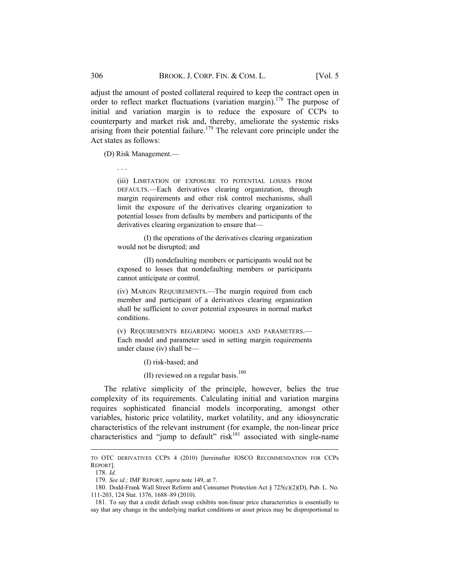adjust the amount of posted collateral required to keep the contract open in order to reflect market fluctuations (variation margin).<sup>178</sup> The purpose of initial and variation margin is to reduce the exposure of CCPs to counterparty and market risk and, thereby, ameliorate the systemic risks arising from their potential failure.<sup>179</sup> The relevant core principle under the Act states as follows:

(D) Risk Management.—

. . .

(iii) LIMITATION OF EXPOSURE TO POTENTIAL LOSSES FROM DEFAULTS.—Each derivatives clearing organization, through margin requirements and other risk control mechanisms, shall limit the exposure of the derivatives clearing organization to potential losses from defaults by members and participants of the derivatives clearing organization to ensure that—

(I) the operations of the derivatives clearing organization would not be disrupted; and

(II) nondefaulting members or participants would not be exposed to losses that nondefaulting members or participants cannot anticipate or control.

(iv) MARGIN REQUIREMENTS.—The margin required from each member and participant of a derivatives clearing organization shall be sufficient to cover potential exposures in normal market conditions.

(v) REQUIREMENTS REGARDING MODELS AND PARAMETERS.— Each model and parameter used in setting margin requirements under clause (iv) shall be—

(I) risk-based; and

(II) reviewed on a regular basis. $180$ 

The relative simplicity of the principle, however, belies the true complexity of its requirements. Calculating initial and variation margins requires sophisticated financial models incorporating, amongst other variables, historic price volatility, market volatility, and any idiosyncratic characteristics of the relevant instrument (for example, the non-linear price characteristics and "jump to default"  $risk<sup>181</sup>$  associated with single-name

TO OTC DERIVATIVES CCPS 4 (2010) [hereinafter IOSCO RECOMMENDATION FOR CCPs REPORT].

<sup>178.</sup> *Id.* 

<sup>179.</sup> *See id.;* IMF REPORT, *supra* note 149, at 7.

<sup>180.</sup> Dodd-Frank Wall Street Reform and Consumer Protection Act § 725(c)(2)(D), Pub. L. No. 111-203, 124 Stat. 1376, 1688–89 (2010).

<sup>181.</sup> To say that a credit default swap exhibits non-linear price characteristics is essentially to say that any change in the underlying market conditions or asset prices may be disproportional to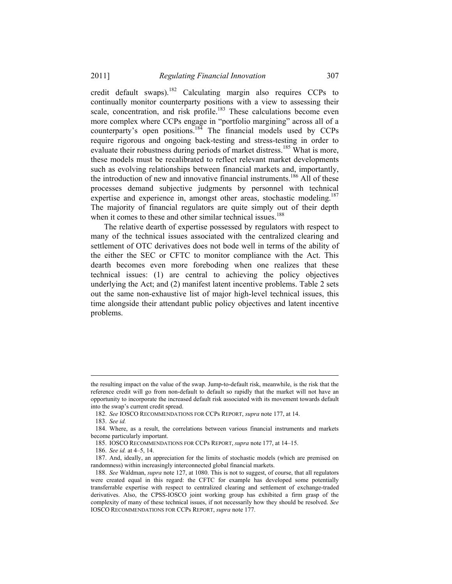credit default swaps).<sup>182</sup> Calculating margin also requires CCPs to continually monitor counterparty positions with a view to assessing their scale, concentration, and risk profile.<sup>183</sup> These calculations become even more complex where CCPs engage in "portfolio margining" across all of a counterparty's open positions.<sup>184</sup> The financial models used by CCPs require rigorous and ongoing back-testing and stress-testing in order to evaluate their robustness during periods of market distress.<sup>185</sup> What is more, these models must be recalibrated to reflect relevant market developments such as evolving relationships between financial markets and, importantly, the introduction of new and innovative financial instruments.<sup>186</sup> All of these processes demand subjective judgments by personnel with technical expertise and experience in, amongst other areas, stochastic modeling.<sup>187</sup> The majority of financial regulators are quite simply out of their depth when it comes to these and other similar technical issues.<sup>188</sup>

The relative dearth of expertise possessed by regulators with respect to many of the technical issues associated with the centralized clearing and settlement of OTC derivatives does not bode well in terms of the ability of the either the SEC or CFTC to monitor compliance with the Act. This dearth becomes even more foreboding when one realizes that these technical issues: (1) are central to achieving the policy objectives underlying the Act; and (2) manifest latent incentive problems. Table 2 sets out the same non-exhaustive list of major high-level technical issues, this time alongside their attendant public policy objectives and latent incentive problems.

the resulting impact on the value of the swap. Jump-to-default risk, meanwhile, is the risk that the reference credit will go from non-default to default so rapidly that the market will not have an opportunity to incorporate the increased default risk associated with its movement towards default into the swap's current credit spread.

<sup>182.</sup> *See* IOSCO RECOMMENDATIONS FOR CCPs REPORT, *supra* note 177, at 14.

<sup>183.</sup> *See id.*

<sup>184.</sup> Where, as a result, the correlations between various financial instruments and markets become particularly important.

<sup>185.</sup> IOSCO RECOMMENDATIONS FOR CCPs REPORT, *supra* note 177, at 14–15.

<sup>186.</sup> *See id.* at 4–5, 14.

<sup>187.</sup> And, ideally, an appreciation for the limits of stochastic models (which are premised on randomness) within increasingly interconnected global financial markets.

<sup>188.</sup> *See* Waldman, *supra* note 127, at 1080. This is not to suggest, of course, that all regulators were created equal in this regard: the CFTC for example has developed some potentially transferrable expertise with respect to centralized clearing and settlement of exchange-traded derivatives. Also, the CPSS-IOSCO joint working group has exhibited a firm grasp of the complexity of many of these technical issues, if not necessarily how they should be resolved. *See* IOSCO RECOMMENDATIONS FOR CCPs REPORT, *supra* note 177.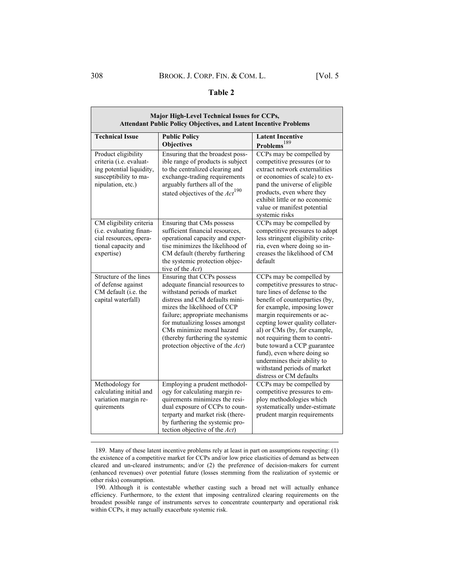#### **Table 2**

| Major High-Level Technical Issues for CCPs,<br><b>Attendant Public Policy Objectives, and Latent Incentive Problems</b>  |                                                                                                                                                                                                                                                                                                                                         |                                                                                                                                                                                                                                                                                                                                                                                                                                                      |  |
|--------------------------------------------------------------------------------------------------------------------------|-----------------------------------------------------------------------------------------------------------------------------------------------------------------------------------------------------------------------------------------------------------------------------------------------------------------------------------------|------------------------------------------------------------------------------------------------------------------------------------------------------------------------------------------------------------------------------------------------------------------------------------------------------------------------------------------------------------------------------------------------------------------------------------------------------|--|
| <b>Technical Issue</b>                                                                                                   | <b>Public Policy</b><br><b>Objectives</b>                                                                                                                                                                                                                                                                                               | <b>Latent Incentive</b><br>Problems <sup>189</sup>                                                                                                                                                                                                                                                                                                                                                                                                   |  |
| Product eligibility<br>criteria (i.e. evaluat-<br>ing potential liquidity,<br>susceptibility to ma-<br>nipulation, etc.) | Ensuring that the broadest poss-<br>ible range of products is subject<br>to the centralized clearing and<br>exchange-trading requirements<br>arguably furthers all of the<br>stated objectives of the $Act^{190}$                                                                                                                       | CCPs may be compelled by<br>competitive pressures (or to<br>extract network externalities<br>or economies of scale) to ex-<br>pand the universe of eligible<br>products, even where they<br>exhibit little or no economic<br>value or manifest potential<br>systemic risks                                                                                                                                                                           |  |
| CM eligibility criteria<br>(i.e. evaluating finan-<br>cial resources, opera-<br>tional capacity and<br>expertise)        | Ensuring that CMs possess<br>sufficient financial resources,<br>operational capacity and exper-<br>tise minimizes the likelihood of<br>CM default (thereby furthering<br>the systemic protection objec-<br>tive of the Act)                                                                                                             | CCPs may be compelled by<br>competitive pressures to adopt<br>less stringent eligibility crite-<br>ria, even where doing so in-<br>creases the likelihood of CM<br>default                                                                                                                                                                                                                                                                           |  |
| Structure of the lines<br>of defense against<br>CM default (i.e. the<br>capital waterfall)                               | Ensuring that CCPs possess<br>adequate financial resources to<br>withstand periods of market<br>distress and CM defaults mini-<br>mizes the likelihood of CCP<br>failure; appropriate mechanisms<br>for mutualizing losses amongst<br>CMs minimize moral hazard<br>(thereby furthering the systemic<br>protection objective of the Act) | CCPs may be compelled by<br>competitive pressures to struc-<br>ture lines of defense to the<br>benefit of counterparties (by,<br>for example, imposing lower<br>margin requirements or ac-<br>cepting lower quality collater-<br>al) or CMs (by, for example,<br>not requiring them to contri-<br>bute toward a CCP guarantee<br>fund), even where doing so<br>undermines their ability to<br>withstand periods of market<br>distress or CM defaults |  |
| Methodology for<br>calculating initial and<br>variation margin re-<br>quirements                                         | Employing a prudent methodol-<br>ogy for calculating margin re-<br>quirements minimizes the resi-<br>dual exposure of CCPs to coun-<br>terparty and market risk (there-<br>by furthering the systemic pro-<br>tection objective of the Act)                                                                                             | CCPs may be compelled by<br>competitive pressures to em-<br>ploy methodologies which<br>systematically under-estimate<br>prudent margin requirements                                                                                                                                                                                                                                                                                                 |  |

<sup>189.</sup> Many of these latent incentive problems rely at least in part on assumptions respecting: (1) the existence of a competitive market for CCPs and/or low price elasticities of demand as between cleared and un-cleared instruments; and/or (2) the preference of decision-makers for current (enhanced revenues) over potential future (losses stemming from the realization of systemic or other risks) consumption.

<sup>190.</sup> Although it is contestable whether casting such a broad net will actually enhance efficiency. Furthermore, to the extent that imposing centralized clearing requirements on the broadest possible range of instruments serves to concentrate counterparty and operational risk within CCPs, it may actually exacerbate systemic risk.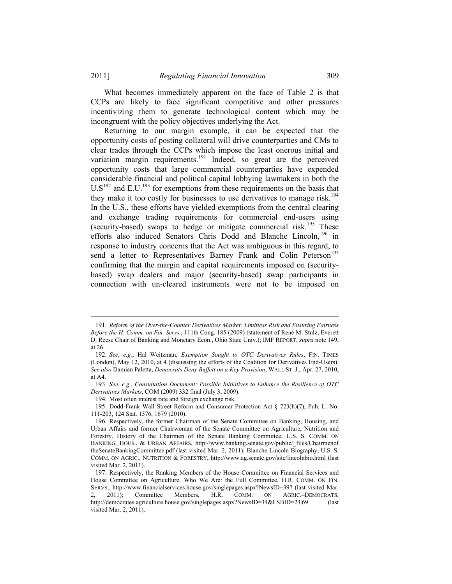What becomes immediately apparent on the face of Table 2 is that CCPs are likely to face significant competitive and other pressures incentivizing them to generate technological content which may be incongruent with the policy objectives underlying the Act.

Returning to our margin example, it can be expected that the opportunity costs of posting collateral will drive counterparties and CMs to clear trades through the CCPs which impose the least onerous initial and variation margin requirements.<sup>191</sup> Indeed, so great are the perceived opportunity costs that large commercial counterparties have expended considerable financial and political capital lobbying lawmakers in both the  $US<sup>192</sup>$  and E.U.<sup>193</sup> for exemptions from these requirements on the basis that they make it too costly for businesses to use derivatives to manage risk.<sup>194</sup> In the U.S., these efforts have yielded exemptions from the central clearing and exchange trading requirements for commercial end-users using (security-based) swaps to hedge or mitigate commercial risk.<sup>195</sup> These efforts also induced Senators Chris Dodd and Blanche Lincoln,<sup>196</sup> in response to industry concerns that the Act was ambiguous in this regard, to send a letter to Representatives Barney Frank and Colin Peterson<sup>197</sup> confirming that the margin and capital requirements imposed on (securitybased) swap dealers and major (security-based) swap participants in connection with un-cleared instruments were not to be imposed on

<sup>191.</sup> *Reform of the Over-the-Counter Derivatives Market: Limitless Risk and Ensuring Fairness Before the H. Comm. on Fin. Servs.*, 111th Cong. 185 (2009) (statement of René M. Stulz, Everett D. Reese Chair of Banking and Monetary Econ., Ohio State Univ.); IMF REPORT, *supra* note 149, at 26.

<sup>192.</sup> *See*, *e.g.*, Hal Weitzman, *Exemption Sought to OTC Derivatives Rules*, FIN. TIMES (London), May 12, 2010, at 4 (discussing the efforts of the Coalition for Derivatives End-Users). *See also* Damian Paletta, *Democrats Deny Buffett on a Key Provision*, WALL ST. J., Apr. 27, 2010, at A4.

<sup>193.</sup> *See*, *e.g.*, *Consultation Document: Possible Initiatives to Enhance the Resilience of OTC Derivatives Markets*, COM (2009) 332 final (July 3, 2009).

<sup>194.</sup> Most often interest rate and foreign exchange risk.

<sup>195.</sup> Dodd-Frank Wall Street Reform and Consumer Protection Act § 723(h)(7), Pub. L. No. 111-203, 124 Stat. 1376, 1679 (2010).

<sup>196.</sup> Respectively, the former Chairman of the Senate Committee on Banking, Housing, and Urban Affairs and former Chairwoman of the Senate Committee on Agriculture, Nutrition and Forestry. History of the Chairmen of the Senate Banking Committee*.* U.S. S. COMM. ON BANKING, HOUS., & URBAN AFFAIRS, http://www.banking.senate.gov/public/\_files/Chairmenof theSenateBankingCommittee.pdf (last visited Mar. 2, 2011); Blanche Lincoln Biography, U.S. S. COMM. ON AGRIC., NUTRITION & FORESTRY, http://www.ag.senate.gov/site/lincolnbio.html (last visited Mar. 2, 2011).

<sup>197.</sup> Respectively, the Ranking Members of the House Committee on Financial Services and House Committee on Agriculture. Who We Are: the Full Committee, H.R. COMM. ON FIN. SERVS., http://www.financialservices.house.gov/singlepages.aspx?NewsID=397 (last visited Mar. 2, 2011); Committee Members, H.R. COMM. ON AGRIC.–DEMOCRATS, http://democrates.agriculture.house.gov/singlepages.aspx?NewsID=34&LSBID=23|69 (last visited Mar. 2, 2011).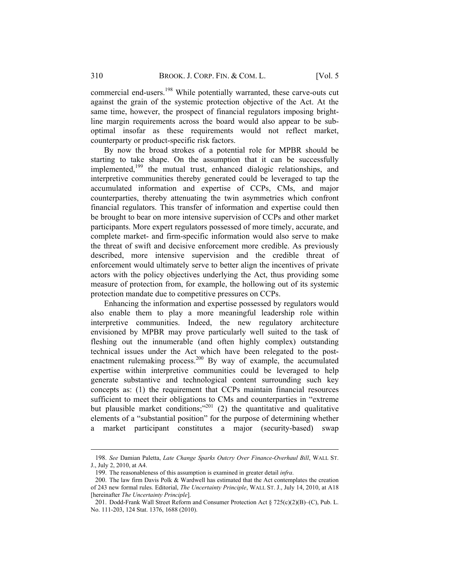commercial end-users.<sup>198</sup> While potentially warranted, these carve-outs cut against the grain of the systemic protection objective of the Act. At the same time, however, the prospect of financial regulators imposing brightline margin requirements across the board would also appear to be suboptimal insofar as these requirements would not reflect market, counterparty or product-specific risk factors.

By now the broad strokes of a potential role for MPBR should be starting to take shape. On the assumption that it can be successfully implemented,<sup>199</sup> the mutual trust, enhanced dialogic relationships, and interpretive communities thereby generated could be leveraged to tap the accumulated information and expertise of CCPs, CMs, and major counterparties, thereby attenuating the twin asymmetries which confront financial regulators. This transfer of information and expertise could then be brought to bear on more intensive supervision of CCPs and other market participants. More expert regulators possessed of more timely, accurate, and complete market- and firm-specific information would also serve to make the threat of swift and decisive enforcement more credible. As previously described, more intensive supervision and the credible threat of enforcement would ultimately serve to better align the incentives of private actors with the policy objectives underlying the Act, thus providing some measure of protection from, for example, the hollowing out of its systemic protection mandate due to competitive pressures on CCPs.

Enhancing the information and expertise possessed by regulators would also enable them to play a more meaningful leadership role within interpretive communities. Indeed, the new regulatory architecture envisioned by MPBR may prove particularly well suited to the task of fleshing out the innumerable (and often highly complex) outstanding technical issues under the Act which have been relegated to the postenactment rulemaking process.<sup>200</sup> By way of example, the accumulated expertise within interpretive communities could be leveraged to help generate substantive and technological content surrounding such key concepts as: (1) the requirement that CCPs maintain financial resources sufficient to meet their obligations to CMs and counterparties in "extreme but plausible market conditions;"<sup>201</sup> (2) the quantitative and qualitative elements of a "substantial position" for the purpose of determining whether a market participant constitutes a major (security-based) swap

<sup>198.</sup> *See* Damian Paletta, *Late Change Sparks Outcry Over Finance-Overhaul Bill*, WALL ST. J., July 2, 2010, at A4.

<sup>199.</sup> The reasonableness of this assumption is examined in greater detail *infra*.

<sup>200.</sup> The law firm Davis Polk & Wardwell has estimated that the Act contemplates the creation of 243 new formal rules. Editorial, *The Uncertainty Principle*, WALL ST. J., July 14, 2010, at A18 [hereinafter *The Uncertainty Principle*].

<sup>201.</sup> Dodd-Frank Wall Street Reform and Consumer Protection Act § 725(c)(2)(B)–(C), Pub. L. No. 111-203, 124 Stat. 1376, 1688 (2010).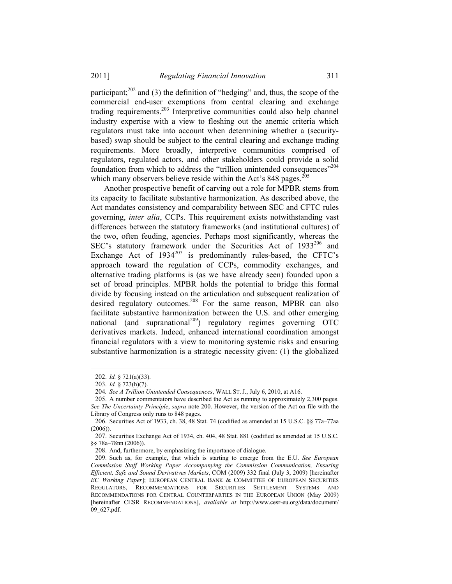participant;<sup>202</sup> and (3) the definition of "hedging" and, thus, the scope of the commercial end-user exemptions from central clearing and exchange trading requirements.203 Interpretive communities could also help channel industry expertise with a view to fleshing out the anemic criteria which regulators must take into account when determining whether a (securitybased) swap should be subject to the central clearing and exchange trading requirements. More broadly, interpretive communities comprised of regulators, regulated actors, and other stakeholders could provide a solid foundation from which to address the "trillion unintended consequences"<sup>204</sup> which many observers believe reside within the Act's  $848$  pages.<sup>20</sup>

Another prospective benefit of carving out a role for MPBR stems from its capacity to facilitate substantive harmonization. As described above, the Act mandates consistency and comparability between SEC and CFTC rules governing, *inter alia*, CCPs. This requirement exists notwithstanding vast differences between the statutory frameworks (and institutional cultures) of the two, often feuding, agencies. Perhaps most significantly, whereas the SEC's statutory framework under the Securities Act of 1933<sup>206</sup> and Exchange Act of  $1934^{207}$  is predominantly rules-based, the CFTC's approach toward the regulation of CCPs, commodity exchanges, and alternative trading platforms is (as we have already seen) founded upon a set of broad principles. MPBR holds the potential to bridge this formal divide by focusing instead on the articulation and subsequent realization of desired regulatory outcomes.<sup>208</sup> For the same reason, MPBR can also facilitate substantive harmonization between the U.S. and other emerging national (and supranational<sup>209</sup>) regulatory regimes governing OTC derivatives markets. Indeed, enhanced international coordination amongst financial regulators with a view to monitoring systemic risks and ensuring substantive harmonization is a strategic necessity given: (1) the globalized

<sup>202.</sup> *Id.* § 721(a)(33).

<sup>203.</sup> *Id.* § 723(h)(7).

<sup>204</sup>*. See A Trillion Unintended Consequences*, WALL ST. J., July 6, 2010, at A16.

<sup>205.</sup> A number commentators have described the Act as running to approximately 2,300 pages. *See The Uncertainty Principle*, *supra* note 200. However, the version of the Act on file with the Library of Congress only runs to 848 pages.

<sup>206.</sup> Securities Act of 1933, ch. 38, 48 Stat. 74 (codified as amended at 15 U.S.C. §§ 77a–77aa (2006)).

<sup>207.</sup> Securities Exchange Act of 1934, ch. 404, 48 Stat. 881 (codified as amended at 15 U.S.C. §§ 78a–78nn (2006)).

<sup>208.</sup> And, furthermore, by emphasizing the importance of dialogue.

<sup>209.</sup> Such as, for example, that which is starting to emerge from the E.U. *See European Commission Staff Working Paper Accompanying the Commission Communication, Ensuring Efficient, Safe and Sound Derivatives Markets*, COM (2009) 332 final (July 3, 2009) [hereinafter *EC Working Paper*]; EUROPEAN CENTRAL BANK & COMMITTEE OF EUROPEAN SECURITIES REGULATORS, RECOMMENDATIONS FOR SECURITIES SETTLEMENT SYSTEMS AND RECOMMENDATIONS FOR CENTRAL COUNTERPARTIES IN THE EUROPEAN UNION (May 2009) [hereinafter CESR RECOMMENDATIONS], *available at* http://www.cesr-eu.org/data/document/ 09\_627.pdf.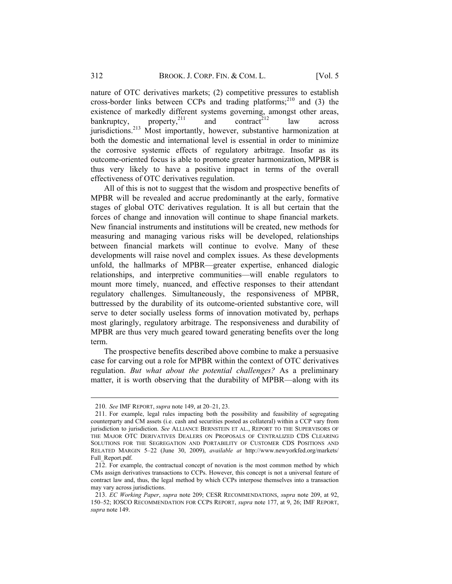nature of OTC derivatives markets; (2) competitive pressures to establish cross-border links between CCPs and trading platforms; $^{210}$  and (3) the existence of markedly different systems governing, amongst other areas, bankruptcy, property,<sup>211</sup> and contract<sup>212</sup> law across bankruptcy, property,  $^{211}$  and contract<sup>212</sup> law across jurisdictions.<sup>213</sup> Most importantly, however, substantive harmonization at both the domestic and international level is essential in order to minimize the corrosive systemic effects of regulatory arbitrage. Insofar as its outcome-oriented focus is able to promote greater harmonization, MPBR is thus very likely to have a positive impact in terms of the overall effectiveness of OTC derivatives regulation.

All of this is not to suggest that the wisdom and prospective benefits of MPBR will be revealed and accrue predominantly at the early, formative stages of global OTC derivatives regulation. It is all but certain that the forces of change and innovation will continue to shape financial markets. New financial instruments and institutions will be created, new methods for measuring and managing various risks will be developed, relationships between financial markets will continue to evolve. Many of these developments will raise novel and complex issues. As these developments unfold, the hallmarks of MPBR—greater expertise, enhanced dialogic relationships, and interpretive communities—will enable regulators to mount more timely, nuanced, and effective responses to their attendant regulatory challenges. Simultaneously, the responsiveness of MPBR, buttressed by the durability of its outcome-oriented substantive core, will serve to deter socially useless forms of innovation motivated by, perhaps most glaringly, regulatory arbitrage. The responsiveness and durability of MPBR are thus very much geared toward generating benefits over the long term.

The prospective benefits described above combine to make a persuasive case for carving out a role for MPBR within the context of OTC derivatives regulation. *But what about the potential challenges?* As a preliminary matter, it is worth observing that the durability of MPBR—along with its

<sup>210.</sup> *See* IMF REPORT, *supra* note 149, at 20–21, 23.

<sup>211.</sup> For example, legal rules impacting both the possibility and feasibility of segregating counterparty and CM assets (i.e. cash and securities posted as collateral) within a CCP vary from jurisdiction to jurisdiction. *See* ALLIANCE BERNSTEIN ET AL., REPORT TO THE SUPERVISORS OF THE MAJOR OTC DERIVATIVES DEALERS ON PROPOSALS OF CENTRALIZED CDS CLEARING SOLUTIONS FOR THE SEGREGATION AND PORTABILITY OF CUSTOMER CDS POSITIONS AND RELATED MARGIN 5–22 (June 30, 2009), *available at* http://www.newyorkfed.org/markets/ Full\_Report.pdf.

<sup>212.</sup> For example, the contractual concept of novation is the most common method by which CMs assign derivatives transactions to CCPs. However, this concept is not a universal feature of contract law and, thus, the legal method by which CCPs interpose themselves into a transaction may vary across jurisdictions.

<sup>213.</sup> *EC Working Paper*, *supra* note 209; CESR RECOMMENDATIONS, *supra* note 209, at 92, 150–52; IOSCO RECOMMENDATION FOR CCPS REPORT, *supra* note 177, at 9, 26; IMF REPORT, *supra* note 149.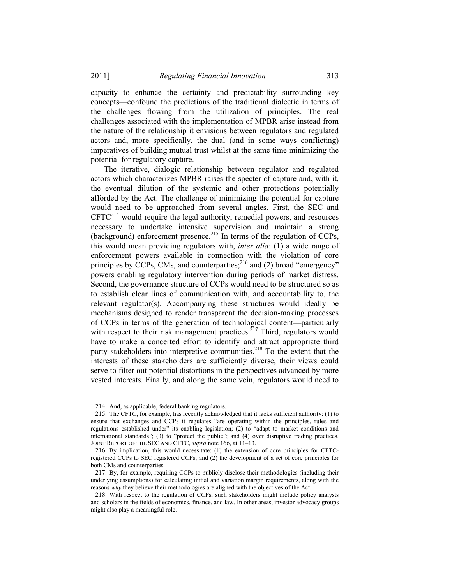capacity to enhance the certainty and predictability surrounding key concepts—confound the predictions of the traditional dialectic in terms of the challenges flowing from the utilization of principles. The real challenges associated with the implementation of MPBR arise instead from the nature of the relationship it envisions between regulators and regulated actors and, more specifically, the dual (and in some ways conflicting) imperatives of building mutual trust whilst at the same time minimizing the potential for regulatory capture.

The iterative, dialogic relationship between regulator and regulated actors which characterizes MPBR raises the specter of capture and, with it, the eventual dilution of the systemic and other protections potentially afforded by the Act. The challenge of minimizing the potential for capture would need to be approached from several angles. First, the SEC and  $CFTC<sup>214</sup>$  would require the legal authority, remedial powers, and resources necessary to undertake intensive supervision and maintain a strong (background) enforcement presence.215 In terms of the regulation of CCPs, this would mean providing regulators with, *inter alia*: (1) a wide range of enforcement powers available in connection with the violation of core principles by CCPs, CMs, and counterparties; $^{216}$  and (2) broad "emergency" powers enabling regulatory intervention during periods of market distress. Second, the governance structure of CCPs would need to be structured so as to establish clear lines of communication with, and accountability to, the relevant regulator(s). Accompanying these structures would ideally be mechanisms designed to render transparent the decision-making processes of CCPs in terms of the generation of technological content—particularly with respect to their risk management practices.<sup>217</sup> Third, regulators would have to make a concerted effort to identify and attract appropriate third party stakeholders into interpretive communities. $2^{18}$  To the extent that the interests of these stakeholders are sufficiently diverse, their views could serve to filter out potential distortions in the perspectives advanced by more vested interests. Finally, and along the same vein, regulators would need to

<sup>214.</sup> And, as applicable, federal banking regulators.

<sup>215.</sup> The CFTC, for example, has recently acknowledged that it lacks sufficient authority: (1) to ensure that exchanges and CCPs it regulates "are operating within the principles, rules and regulations established under" its enabling legislation; (2) to "adapt to market conditions and international standards"; (3) to "protect the public"; and (4) over disruptive trading practices. JOINT REPORT OF THE SEC AND CFTC, *supra* note 166, at 11–13.

<sup>216.</sup> By implication, this would necessitate: (1) the extension of core principles for CFTCregistered CCPs to SEC registered CCPs; and (2) the development of a set of core principles for both CMs and counterparties.

<sup>217.</sup> By, for example, requiring CCPs to publicly disclose their methodologies (including their underlying assumptions) for calculating initial and variation margin requirements, along with the reasons *why* they believe their methodologies are aligned with the objectives of the Act.

<sup>218.</sup> With respect to the regulation of CCPs, such stakeholders might include policy analysts and scholars in the fields of economics, finance, and law. In other areas, investor advocacy groups might also play a meaningful role.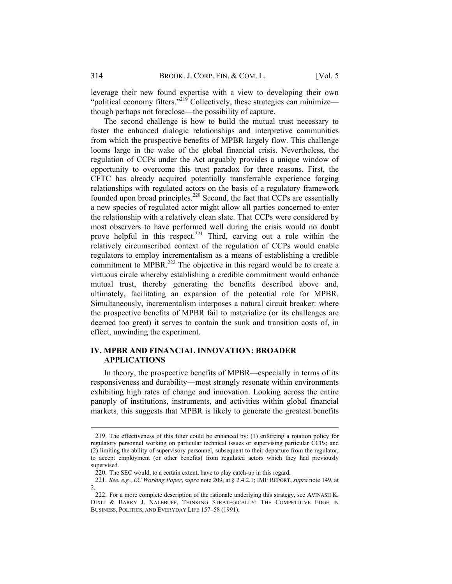leverage their new found expertise with a view to developing their own "political economy filters."<sup>219</sup> Collectively, these strategies can minimize though perhaps not foreclose—the possibility of capture.

The second challenge is how to build the mutual trust necessary to foster the enhanced dialogic relationships and interpretive communities from which the prospective benefits of MPBR largely flow. This challenge looms large in the wake of the global financial crisis. Nevertheless, the regulation of CCPs under the Act arguably provides a unique window of opportunity to overcome this trust paradox for three reasons. First, the CFTC has already acquired potentially transferrable experience forging relationships with regulated actors on the basis of a regulatory framework founded upon broad principles.<sup>220</sup> Second, the fact that CCPs are essentially a new species of regulated actor might allow all parties concerned to enter the relationship with a relatively clean slate. That CCPs were considered by most observers to have performed well during the crisis would no doubt prove helpful in this respect.<sup>221</sup> Third, carving out a role within the relatively circumscribed context of the regulation of CCPs would enable regulators to employ incrementalism as a means of establishing a credible commitment to MPBR.<sup>222</sup> The objective in this regard would be to create a virtuous circle whereby establishing a credible commitment would enhance mutual trust, thereby generating the benefits described above and, ultimately, facilitating an expansion of the potential role for MPBR. Simultaneously, incrementalism interposes a natural circuit breaker: where the prospective benefits of MPBR fail to materialize (or its challenges are deemed too great) it serves to contain the sunk and transition costs of, in effect, unwinding the experiment.

## **IV. MPBR AND FINANCIAL INNOVATION: BROADER APPLICATIONS**

In theory, the prospective benefits of MPBR—especially in terms of its responsiveness and durability—most strongly resonate within environments exhibiting high rates of change and innovation. Looking across the entire panoply of institutions, instruments, and activities within global financial markets, this suggests that MPBR is likely to generate the greatest benefits

<sup>219.</sup> The effectiveness of this filter could be enhanced by: (1) enforcing a rotation policy for regulatory personnel working on particular technical issues or supervising particular CCPs; and (2) limiting the ability of supervisory personnel, subsequent to their departure from the regulator, to accept employment (or other benefits) from regulated actors which they had previously supervised.

<sup>220.</sup> The SEC would, to a certain extent, have to play catch-up in this regard.

<sup>221.</sup> *See*, *e.g.*, *EC Working Paper*, *supra* note 209, at § 2.4.2.1; IMF REPORT, *supra* note 149, at 2.

<sup>222.</sup> For a more complete description of the rationale underlying this strategy, see AVINASH K. DIXIT & BARRY J. NALEBUFF, THINKING STRATEGICALLY: THE COMPETITIVE EDGE IN BUSINESS, POLITICS, AND EVERYDAY LIFE 157–58 (1991).